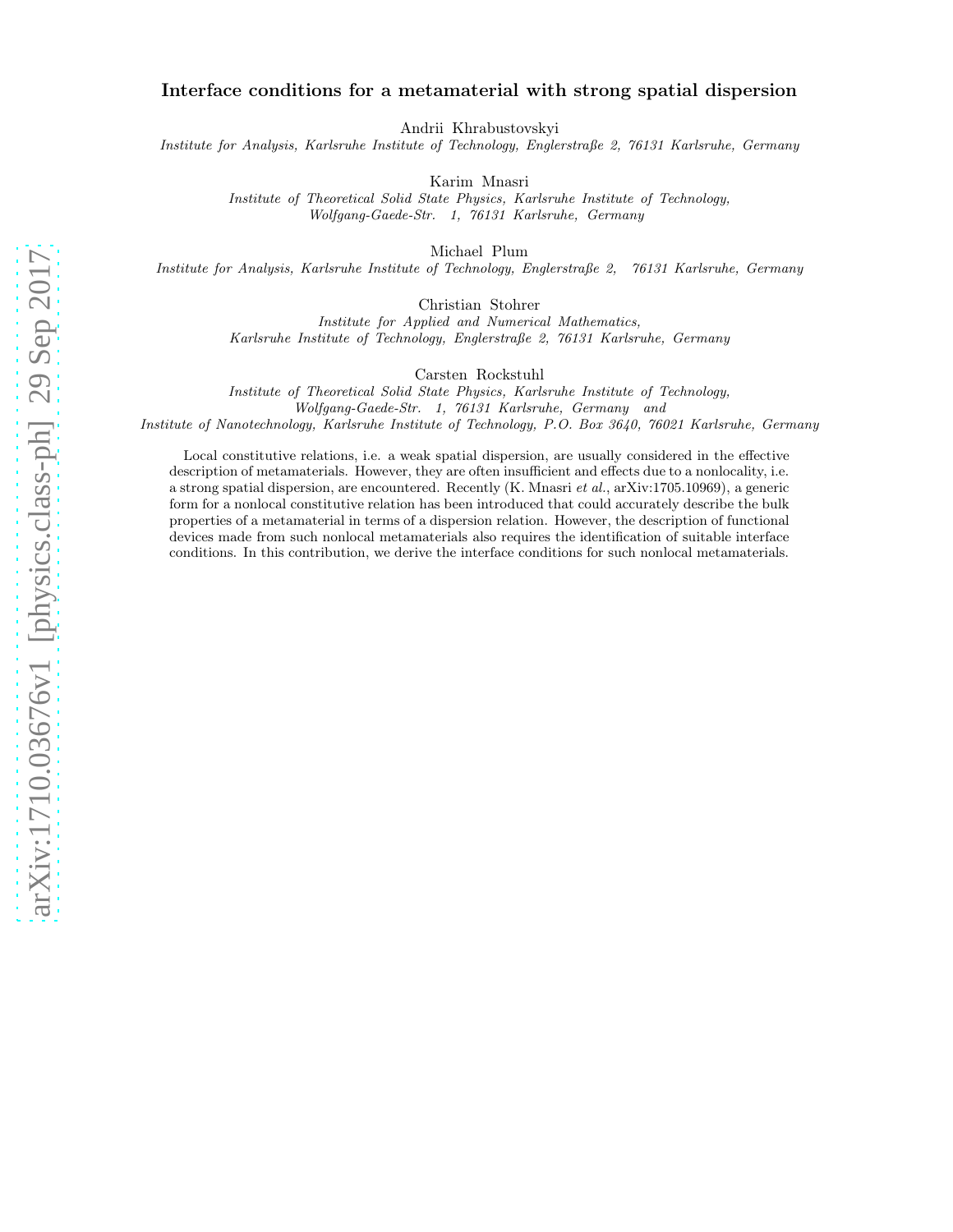# Interface conditions for a metamaterial with strong spatial dispersion

Andrii Khrabustovskyi

Institute for Analysis, Karlsruhe Institute of Technology, Englerstraße 2, 76131 Karlsruhe, Germany

Karim Mnasri

Institute of Theoretical Solid State Physics, Karlsruhe Institute of Technology, Wolfgang-Gaede-Str. 1, 76131 Karlsruhe, Germany

Michael Plum

Institute for Analysis, Karlsruhe Institute of Technology, Englerstraße 2, 76131 Karlsruhe, Germany

Christian Stohrer

Institute for Applied and Numerical Mathematics, Karlsruhe Institute of Technology, Englerstraße 2, 76131 Karlsruhe, Germany

Carsten Rockstuhl

Institute of Theoretical Solid State Physics, Karlsruhe Institute of Technology, Wolfgang-Gaede-Str. 1, 76131 Karlsruhe, Germany and Institute of Nanotechnology, Karlsruhe Institute of Technology, P.O. Box 3640, 76021 Karlsruhe, Germany

Local constitutive relations, i.e. a weak spatial dispersion, are usually considered in the effective description of metamaterials. However, they are often insufficient and effects due to a nonlocality, i.e. a strong spatial dispersion, are encountered. Recently (K. Mnasri et al., arXiv:1705.10969), a generic form for a nonlocal constitutive relation has been introduced that could accurately describe the bulk properties of a metamaterial in terms of a dispersion relation. However, the description of functional devices made from such nonlocal metamaterials also requires the identification of suitable interface conditions. In this contribution, we derive the interface conditions for such nonlocal metamaterials.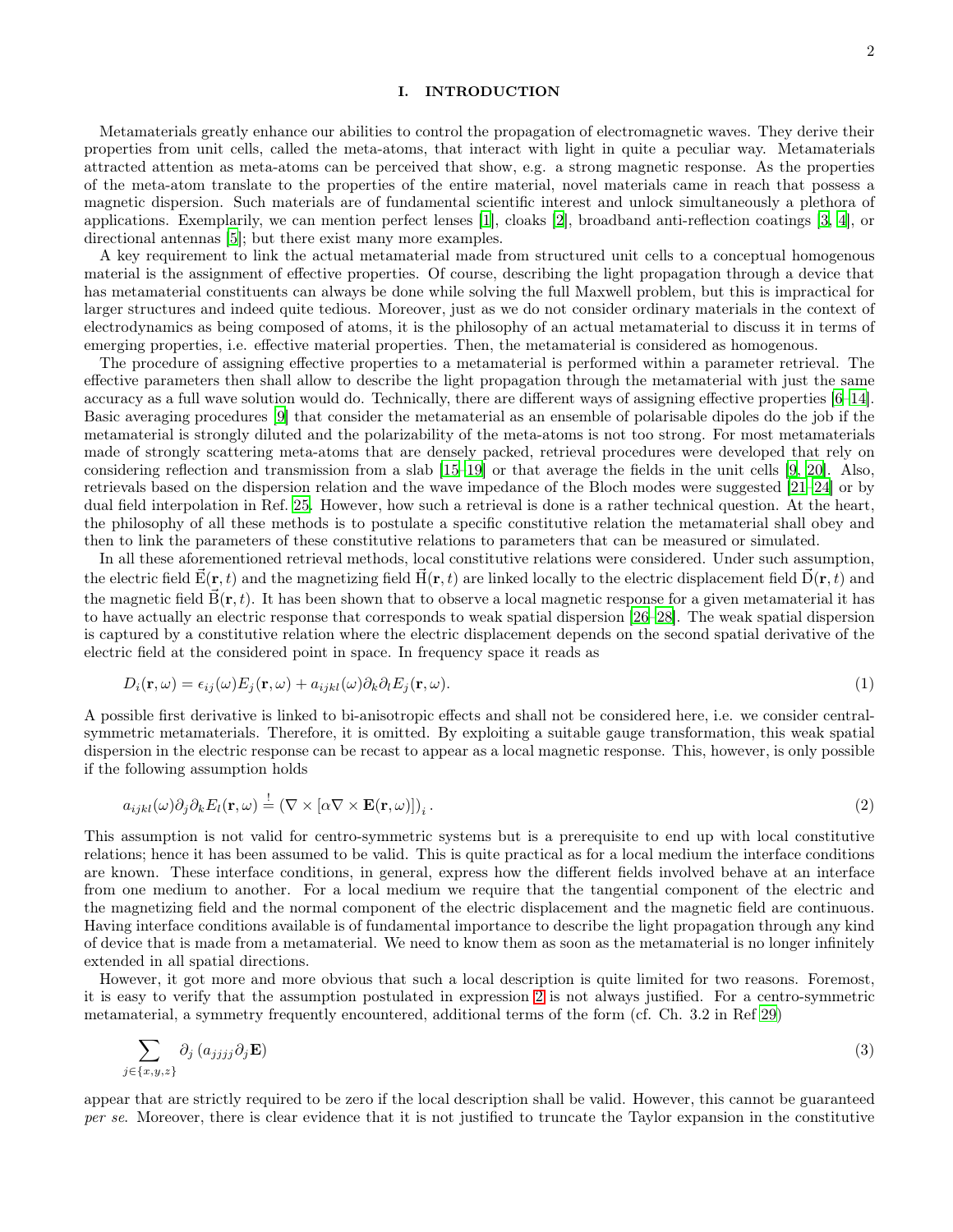### I. INTRODUCTION

Metamaterials greatly enhance our abilities to control the propagation of electromagnetic waves. They derive their properties from unit cells, called the meta-atoms, that interact with light in quite a peculiar way. Metamaterials attracted attention as meta-atoms can be perceived that show, e.g. a strong magnetic response. As the properties of the meta-atom translate to the properties of the entire material, novel materials came in reach that possess a magnetic dispersion. Such materials are of fundamental scientific interest and unlock simultaneously a plethora of applications. Exemplarily, we can mention perfect lenses [\[1](#page-19-0)], cloaks [\[2](#page-19-1)], broadband anti-reflection coatings [\[3,](#page-19-2) [4\]](#page-19-3), or directional antennas [\[5\]](#page-19-4); but there exist many more examples.

A key requirement to link the actual metamaterial made from structured unit cells to a conceptual homogenous material is the assignment of effective properties. Of course, describing the light propagation through a device that has metamaterial constituents can always be done while solving the full Maxwell problem, but this is impractical for larger structures and indeed quite tedious. Moreover, just as we do not consider ordinary materials in the context of electrodynamics as being composed of atoms, it is the philosophy of an actual metamaterial to discuss it in terms of emerging properties, i.e. effective material properties. Then, the metamaterial is considered as homogenous.

The procedure of assigning effective properties to a metamaterial is performed within a parameter retrieval. The effective parameters then shall allow to describe the light propagation through the metamaterial with just the same accuracy as a full wave solution would do. Technically, there are different ways of assigning effective properties [\[6](#page-19-5)[–14\]](#page-19-6). Basic averaging procedures [\[9\]](#page-19-7) that consider the metamaterial as an ensemble of polarisable dipoles do the job if the metamaterial is strongly diluted and the polarizability of the meta-atoms is not too strong. For most metamaterials made of strongly scattering meta-atoms that are densely packed, retrieval procedures were developed that rely on considering reflection and transmission from a slab [\[15](#page-19-8)[–19\]](#page-19-9) or that average the fields in the unit cells [\[9](#page-19-7), [20\]](#page-19-10). Also, retrievals based on the dispersion relation and the wave impedance of the Bloch modes were suggested [\[21](#page-19-11)[–24](#page-19-12)] or by dual field interpolation in Ref. [25.](#page-19-13) However, how such a retrieval is done is a rather technical question. At the heart, the philosophy of all these methods is to postulate a specific constitutive relation the metamaterial shall obey and then to link the parameters of these constitutive relations to parameters that can be measured or simulated.

In all these aforementioned retrieval methods, local constitutive relations were considered. Under such assumption, the electric field  $\vec{E}(\mathbf{r},t)$  and the magnetizing field  $\vec{H}(\mathbf{r},t)$  are linked locally to the electric displacement field  $\vec{D}(\mathbf{r},t)$  and the magnetic field  $\vec{B}(\mathbf{r},t)$ . It has been shown that to observe a local magnetic response for a given metamaterial it has to have actually an electric response that corresponds to weak spatial dispersion [\[26](#page-19-14)[–28](#page-19-15)]. The weak spatial dispersion is captured by a constitutive relation where the electric displacement depends on the second spatial derivative of the electric field at the considered point in space. In frequency space it reads as

<span id="page-1-1"></span>
$$
D_i(\mathbf{r}, \omega) = \epsilon_{ij}(\omega) E_j(\mathbf{r}, \omega) + a_{ijkl}(\omega) \partial_k \partial_l E_j(\mathbf{r}, \omega).
$$
\n(1)

A possible first derivative is linked to bi-anisotropic effects and shall not be considered here, i.e. we consider centralsymmetric metamaterials. Therefore, it is omitted. By exploiting a suitable gauge transformation, this weak spatial dispersion in the electric response can be recast to appear as a local magnetic response. This, however, is only possible if the following assumption holds

<span id="page-1-0"></span>
$$
a_{ijkl}(\omega)\partial_j\partial_k E_l(\mathbf{r},\omega) \stackrel{!}{=} (\nabla \times [\alpha \nabla \times \mathbf{E}(\mathbf{r},\omega)])_i.
$$
 (2)

This assumption is not valid for centro-symmetric systems but is a prerequisite to end up with local constitutive relations; hence it has been assumed to be valid. This is quite practical as for a local medium the interface conditions are known. These interface conditions, in general, express how the different fields involved behave at an interface from one medium to another. For a local medium we require that the tangential component of the electric and the magnetizing field and the normal component of the electric displacement and the magnetic field are continuous. Having interface conditions available is of fundamental importance to describe the light propagation through any kind of device that is made from a metamaterial. We need to know them as soon as the metamaterial is no longer infinitely extended in all spatial directions.

However, it got more and more obvious that such a local description is quite limited for two reasons. Foremost, it is easy to verify that the assumption postulated in expression [2](#page-1-0) is not always justified. For a centro-symmetric metamaterial, a symmetry frequently encountered, additional terms of the form (cf. Ch. 3.2 in Ref [29](#page-19-16))

<span id="page-1-2"></span>
$$
\sum_{j \in \{x,y,z\}} \partial_j \left( a_{jjjj} \partial_j \mathbf{E} \right) \tag{3}
$$

appear that are strictly required to be zero if the local description shall be valid. However, this cannot be guaranteed per se. Moreover, there is clear evidence that it is not justified to truncate the Taylor expansion in the constitutive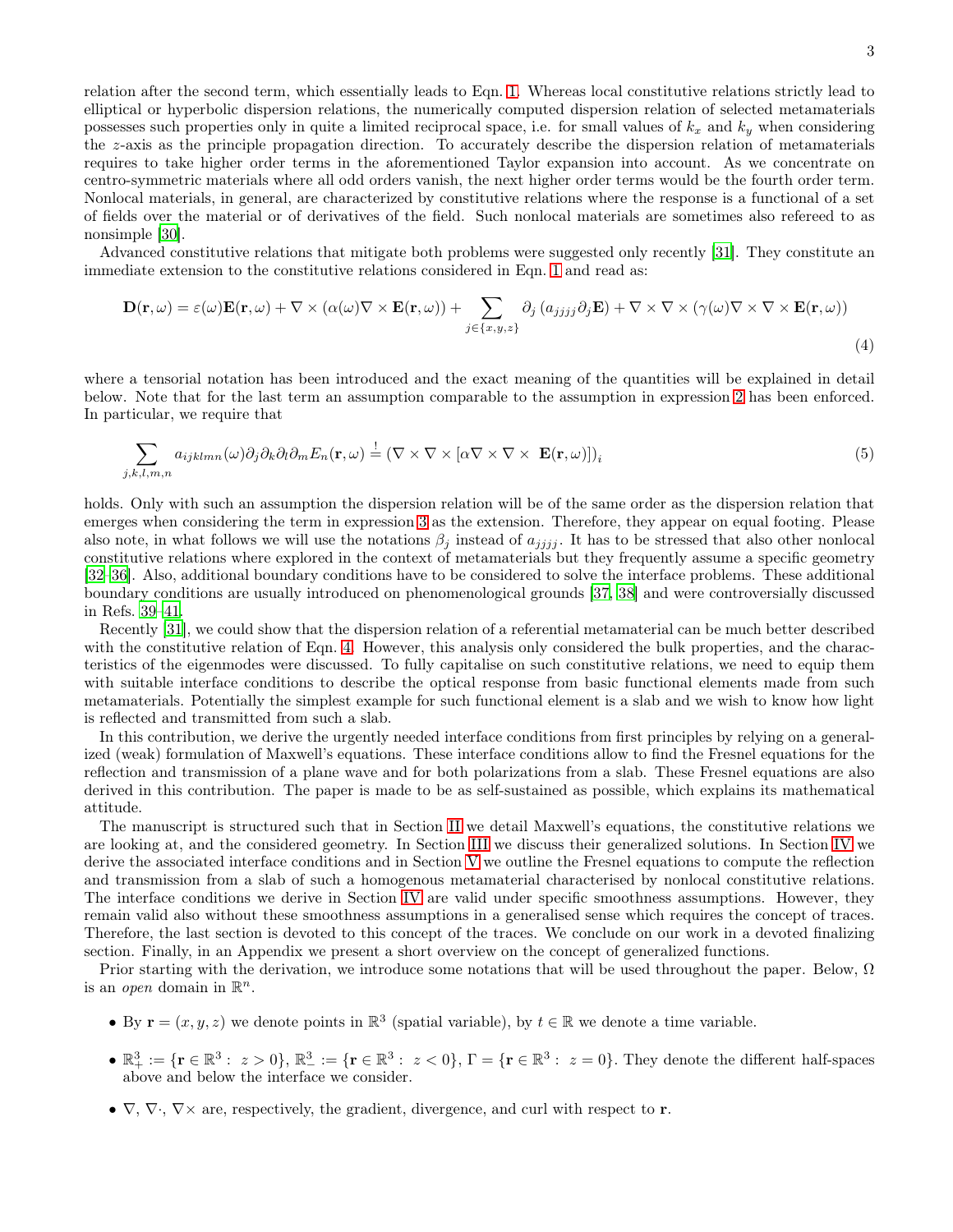relation after the second term, which essentially leads to Eqn. [1.](#page-1-1) Whereas local constitutive relations strictly lead to elliptical or hyperbolic dispersion relations, the numerically computed dispersion relation of selected metamaterials possesses such properties only in quite a limited reciprocal space, i.e. for small values of  $k_x$  and  $k_y$  when considering the z-axis as the principle propagation direction. To accurately describe the dispersion relation of metamaterials requires to take higher order terms in the aforementioned Taylor expansion into account. As we concentrate on centro-symmetric materials where all odd orders vanish, the next higher order terms would be the fourth order term. Nonlocal materials, in general, are characterized by constitutive relations where the response is a functional of a set of fields over the material or of derivatives of the field. Such nonlocal materials are sometimes also refereed to as nonsimple [\[30\]](#page-19-17).

Advanced constitutive relations that mitigate both problems were suggested only recently [\[31\]](#page-19-18). They constitute an immediate extension to the constitutive relations considered in Eqn. [1](#page-1-1) and read as:

<span id="page-2-0"></span>
$$
\mathbf{D}(\mathbf{r},\omega) = \varepsilon(\omega)\mathbf{E}(\mathbf{r},\omega) + \nabla \times (\alpha(\omega)\nabla \times \mathbf{E}(\mathbf{r},\omega)) + \sum_{j \in \{x,y,z\}} \partial_j (a_{jjjj}\partial_j \mathbf{E}) + \nabla \times \nabla \times (\gamma(\omega)\nabla \times \nabla \times \mathbf{E}(\mathbf{r},\omega))
$$
\n(4)

where a tensorial notation has been introduced and the exact meaning of the quantities will be explained in detail below. Note that for the last term an assumption comparable to the assumption in expression [2](#page-1-0) has been enforced. In particular, we require that

$$
\sum_{j,k,l,m,n} a_{ijklmn}(\omega) \partial_j \partial_k \partial_l \partial_m E_n(\mathbf{r}, \omega) \stackrel{!}{=} (\nabla \times \nabla \times [\alpha \nabla \times \nabla \times \mathbf{E}(\mathbf{r}, \omega)])_i
$$
\n(5)

holds. Only with such an assumption the dispersion relation will be of the same order as the dispersion relation that emerges when considering the term in expression [3](#page-1-2) as the extension. Therefore, they appear on equal footing. Please also note, in what follows we will use the notations  $\beta_i$  instead of  $a_{ijij}$ . It has to be stressed that also other nonlocal constitutive relations where explored in the context of metamaterials but they frequently assume a specific geometry [\[32](#page-19-19)[–36\]](#page-19-20). Also, additional boundary conditions have to be considered to solve the interface problems. These additional boundary conditions are usually introduced on phenomenological grounds [\[37,](#page-19-21) [38\]](#page-19-22) and were controversially discussed in Refs. [39](#page-19-23)[–41.](#page-19-24)

Recently [\[31](#page-19-18)], we could show that the dispersion relation of a referential metamaterial can be much better described with the constitutive relation of Eqn. [4.](#page-2-0) However, this analysis only considered the bulk properties, and the characteristics of the eigenmodes were discussed. To fully capitalise on such constitutive relations, we need to equip them with suitable interface conditions to describe the optical response from basic functional elements made from such metamaterials. Potentially the simplest example for such functional element is a slab and we wish to know how light is reflected and transmitted from such a slab.

In this contribution, we derive the urgently needed interface conditions from first principles by relying on a generalized (weak) formulation of Maxwell's equations. These interface conditions allow to find the Fresnel equations for the reflection and transmission of a plane wave and for both polarizations from a slab. These Fresnel equations are also derived in this contribution. The paper is made to be as self-sustained as possible, which explains its mathematical attitude.

The manuscript is structured such that in Section [II](#page-3-0) we detail Maxwell's equations, the constitutive relations we are looking at, and the considered geometry. In Section [III](#page-4-0) we discuss their generalized solutions. In Section [IV](#page-5-0) we derive the associated interface conditions and in Section [V](#page-10-0) we outline the Fresnel equations to compute the reflection and transmission from a slab of such a homogenous metamaterial characterised by nonlocal constitutive relations. The interface conditions we derive in Section [IV](#page-5-0) are valid under specific smoothness assumptions. However, they remain valid also without these smoothness assumptions in a generalised sense which requires the concept of traces. Therefore, the last section is devoted to this concept of the traces. We conclude on our work in a devoted finalizing section. Finally, in an Appendix we present a short overview on the concept of generalized functions.

Prior starting with the derivation, we introduce some notations that will be used throughout the paper. Below,  $\Omega$ is an *open* domain in  $\mathbb{R}^n$ .

- By  $\mathbf{r} = (x, y, z)$  we denote points in  $\mathbb{R}^3$  (spatial variable), by  $t \in \mathbb{R}$  we denote a time variable.
- $\bullet \mathbb{R}^3_+ := \{ \mathbf{r} \in \mathbb{R}^3 : z > 0 \}, \mathbb{R}^3_- := \{ \mathbf{r} \in \mathbb{R}^3 : z < 0 \}, \Gamma = \{ \mathbf{r} \in \mathbb{R}^3 : z = 0 \}.$  They denote the different half-spaces above and below the interface we consider.
- $\nabla$ ,  $\nabla \times \nabla \times \nabla$  respectively, the gradient, divergence, and curl with respect to **r**.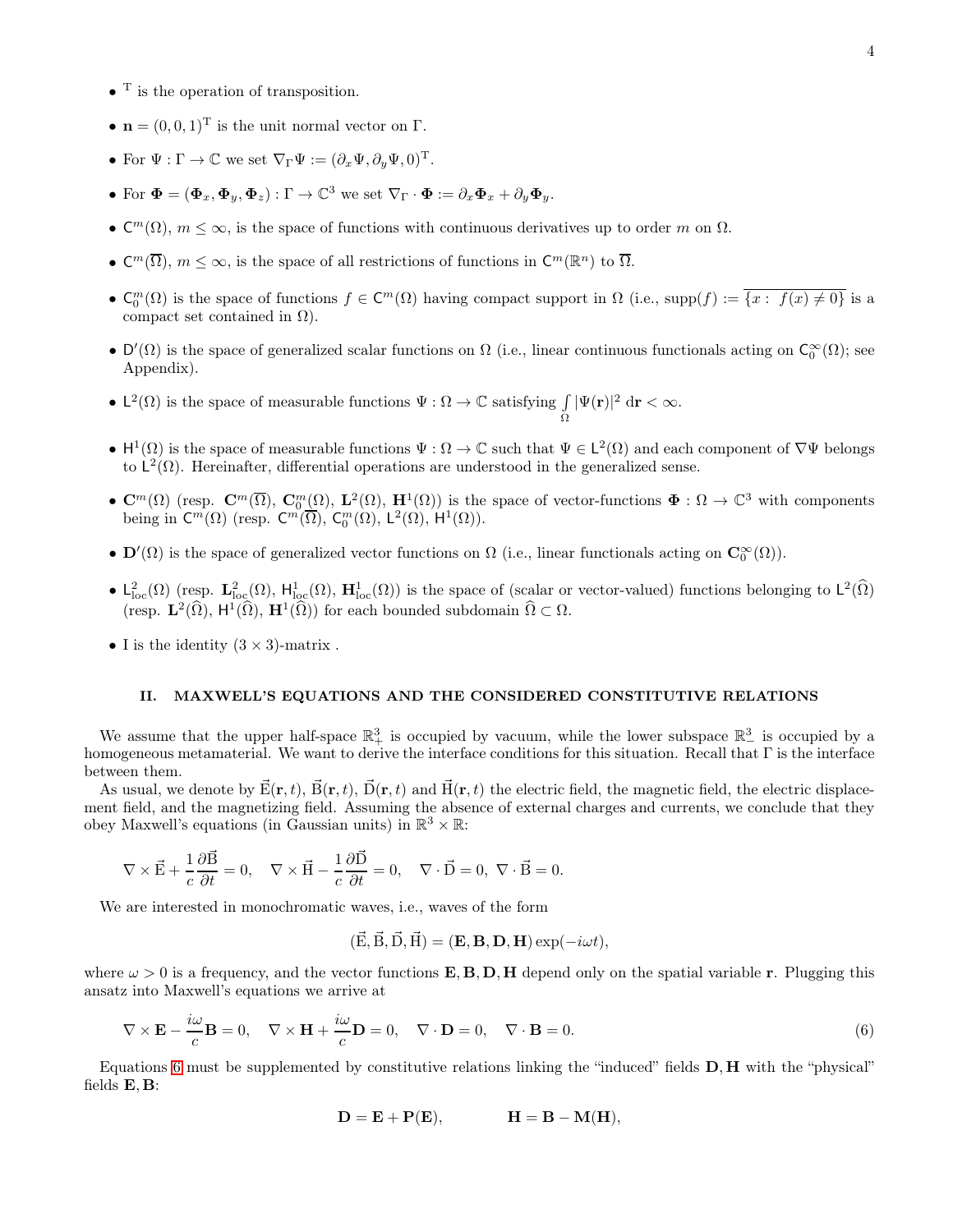- $\bullet$ <sup>T</sup> is the operation of transposition.
- $\mathbf{n} = (0, 0, 1)^\text{T}$  is the unit normal vector on  $\Gamma$ .
- For  $\Psi : \Gamma \to \mathbb{C}$  we set  $\nabla_{\Gamma} \Psi := (\partial_x \Psi, \partial_y \Psi, 0)^T$ .
- For  $\boldsymbol{\Phi} = (\boldsymbol{\Phi}_x, \boldsymbol{\Phi}_y, \boldsymbol{\Phi}_z) : \Gamma \to \mathbb{C}^3$  we set  $\nabla_{\Gamma} \cdot \boldsymbol{\Phi} := \partial_x \boldsymbol{\Phi}_x + \partial_y \boldsymbol{\Phi}_y$ .
- $\mathsf{C}^m(\Omega)$ ,  $m \leq \infty$ , is the space of functions with continuous derivatives up to order m on  $\Omega$ .
- $\mathbb{C}^m(\overline{\Omega})$ ,  $m \leq \infty$ , is the space of all restrictions of functions in  $\mathbb{C}^m(\mathbb{R}^n)$  to  $\overline{\Omega}$ .
- $\mathsf{C}_0^m(\Omega)$  is the space of functions  $f \in \mathsf{C}^m(\Omega)$  having compact support in  $\Omega$  (i.e., supp $(f) := \overline{\{x : f(x) \neq 0\}}$  is a compact set contained in  $\Omega$ ).
- $D'(\Omega)$  is the space of generalized scalar functions on  $\Omega$  (i.e., linear continuous functionals acting on  $\mathsf{C}_0^{\infty}(\Omega)$ ; see Appendix).
- $L^2(\Omega)$  is the space of measurable functions  $\Psi : \Omega \to \mathbb{C}$  satisfying  $\int$ Ω  $|\Psi(\mathbf{r})|^2 \, \mathrm{d}\mathbf{r} < \infty.$
- $H^1(\Omega)$  is the space of measurable functions  $\Psi : \Omega \to \mathbb{C}$  such that  $\Psi \in L^2(\Omega)$  and each component of  $\nabla \Psi$  belongs to  $L^2(\Omega)$ . Hereinafter, differential operations are understood in the generalized sense.
- $\mathbb{C}^m(\Omega)$  (resp.  $\mathbb{C}^m(\overline{\Omega})$ ,  $\mathbb{C}_0^m(\Omega)$ ,  $\mathbf{L}^2(\Omega)$ ,  $\mathbf{H}^1(\Omega)$ ) is the space of vector-functions  $\Phi : \Omega \to \mathbb{C}^3$  with components being in  $C^m(\Omega)$  (resp.  $C^m(\overline{\Omega})$ ,  $C_0^m(\Omega)$ ,  $L^2(\Omega)$ ,  $H^1(\Omega)$ ).
- $\mathbf{D}'(\Omega)$  is the space of generalized vector functions on  $\Omega$  (i.e., linear functionals acting on  $\mathbf{C}_0^{\infty}(\Omega)$ ).
- $L^2_{loc}(\Omega)$  (resp.  $\mathbf{L}^2_{loc}(\Omega)$ ,  $\mathbf{H}^1_{loc}(\Omega)$ ,  $\mathbf{H}^1_{loc}(\Omega)$ ) is the space of (scalar or vector-valued) functions belonging to  $\mathsf{L}^2(\widehat{\Omega})$ (resp.  $\mathbf{L}^2(\widehat{\Omega}), \ \mathbf{H}^1(\widehat{\Omega}), \ \mathbf{H}^1(\widehat{\Omega})$ ) for each bounded subdomain  $\widehat{\Omega} \subset \Omega$ .
- I is the identity  $(3 \times 3)$ -matrix.

# <span id="page-3-0"></span>II. MAXWELL'S EQUATIONS AND THE CONSIDERED CONSTITUTIVE RELATIONS

We assume that the upper half-space  $\mathbb{R}^3_+$  is occupied by vacuum, while the lower subspace  $\mathbb{R}^3_-$  is occupied by a homogeneous metamaterial. We want to derive the interface conditions for this situation. Recall that  $\Gamma$  is the interface between them.

As usual, we denote by  $\vec{E}(\mathbf{r},t), \vec{B}(\mathbf{r},t), \vec{D}(\mathbf{r},t)$  and  $\vec{H}(\mathbf{r},t)$  the electric field, the magnetic field, the electric displacement field, and the magnetizing field. Assuming the absence of external charges and currents, we conclude that they obey Maxwell's equations (in Gaussian units) in  $\mathbb{R}^3 \times \mathbb{R}$ :

$$
\nabla\times\vec{\mathbf{E}}+\frac{1}{c}\frac{\partial\vec{\mathbf{B}}}{\partial t}=0,\quad \nabla\times\vec{\mathbf{H}}-\frac{1}{c}\frac{\partial\vec{\mathbf{D}}}{\partial t}=0,\quad \nabla\cdot\vec{\mathbf{D}}=0,\ \nabla\cdot\vec{\mathbf{B}}=0.
$$

We are interested in monochromatic waves, i.e., waves of the form

<span id="page-3-1"></span>
$$
(\vec{E}, \vec{B}, \vec{D}, \vec{H}) = (\mathbf{E}, \mathbf{B}, \mathbf{D}, \mathbf{H}) \exp(-i\omega t),
$$

where  $\omega > 0$  is a frequency, and the vector functions **E, B, D, H** depend only on the spatial variable **r**. Plugging this ansatz into Maxwell's equations we arrive at

$$
\nabla \times \mathbf{E} - \frac{i\omega}{c} \mathbf{B} = 0, \quad \nabla \times \mathbf{H} + \frac{i\omega}{c} \mathbf{D} = 0, \quad \nabla \cdot \mathbf{D} = 0, \quad \nabla \cdot \mathbf{B} = 0.
$$
 (6)

Equations [6](#page-3-1) must be supplemented by constitutive relations linking the "induced" fields D, H with the "physical" fields E, B:

$$
D = E + P(E), \qquad \qquad H = B - M(H),
$$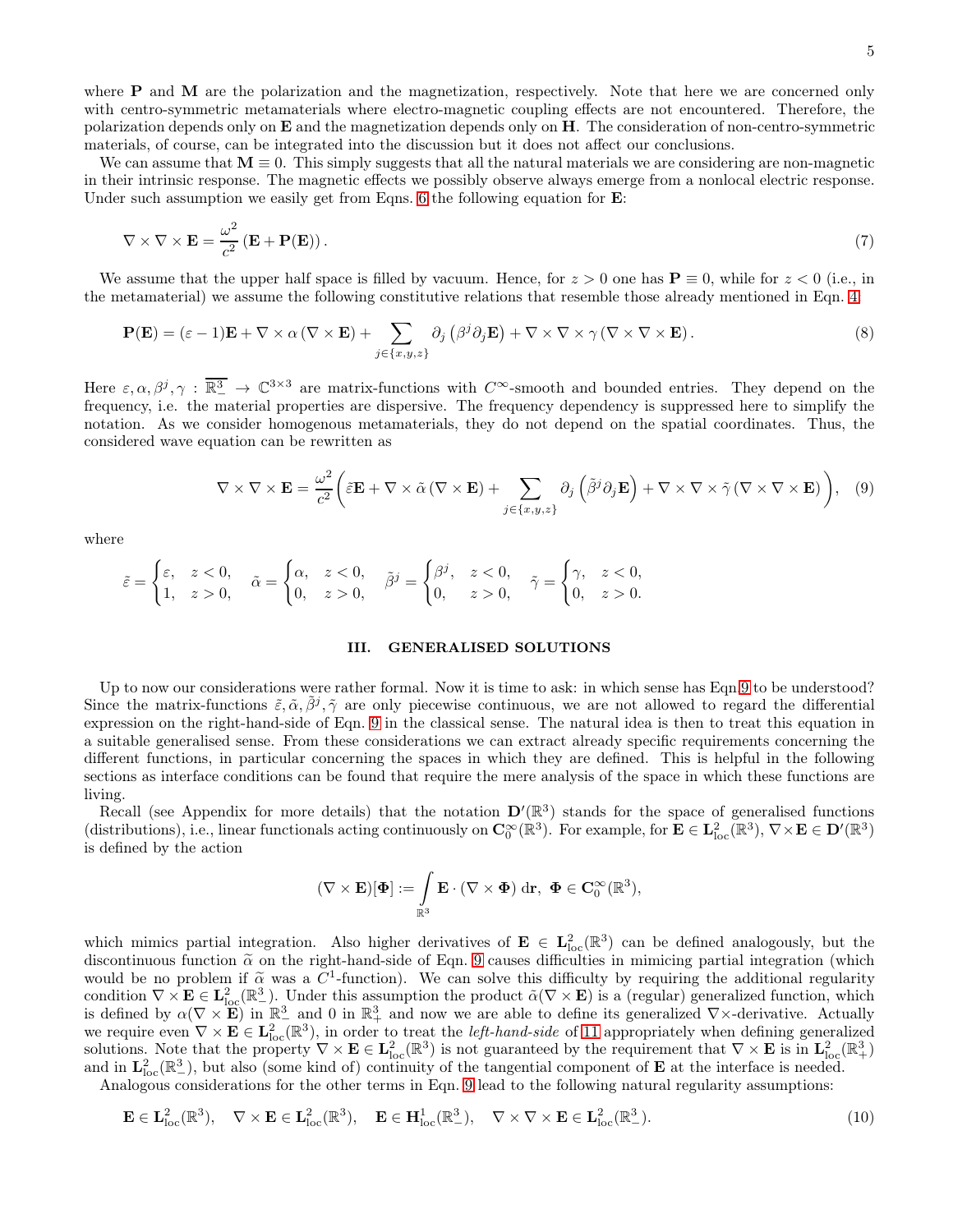where **P** and **M** are the polarization and the magnetization, respectively. Note that here we are concerned only with centro-symmetric metamaterials where electro-magnetic coupling effects are not encountered. Therefore, the polarization depends only on  $E$  and the magnetization depends only on  $H$ . The consideration of non-centro-symmetric materials, of course, can be integrated into the discussion but it does not affect our conclusions.

We can assume that  $M \equiv 0$ . This simply suggests that all the natural materials we are considering are non-magnetic in their intrinsic response. The magnetic effects we possibly observe always emerge from a nonlocal electric response. Under such assumption we easily get from Eqns. [6](#page-3-1) the following equation for  $\mathbf{E}$ :

$$
\nabla \times \nabla \times \mathbf{E} = \frac{\omega^2}{c^2} \left( \mathbf{E} + \mathbf{P}(\mathbf{E}) \right). \tag{7}
$$

We assume that the upper half space is filled by vacuum. Hence, for  $z > 0$  one has  $P \equiv 0$ , while for  $z < 0$  (i.e., in the metamaterial) we assume the following constitutive relations that resemble those already mentioned in Eqn. [4:](#page-2-0)

$$
\mathbf{P}(\mathbf{E}) = (\varepsilon - 1)\mathbf{E} + \nabla \times \alpha (\nabla \times \mathbf{E}) + \sum_{j \in \{x, y, z\}} \partial_j (\beta^j \partial_j \mathbf{E}) + \nabla \times \nabla \times \gamma (\nabla \times \nabla \times \mathbf{E}).
$$
\n(8)

Here  $\varepsilon, \alpha, \beta^j, \gamma : \overline{\mathbb{R}^3_-} \to \mathbb{C}^{3 \times 3}$  are matrix-functions with  $C^{\infty}$ -smooth and bounded entries. They depend on the frequency, i.e. the material properties are dispersive. The frequency dependency is suppressed here to simplify the notation. As we consider homogenous metamaterials, they do not depend on the spatial coordinates. Thus, the considered wave equation can be rewritten as

$$
\nabla \times \nabla \times \mathbf{E} = \frac{\omega^2}{c^2} \left( \tilde{\varepsilon} \mathbf{E} + \nabla \times \tilde{\alpha} \left( \nabla \times \mathbf{E} \right) + \sum_{j \in \{x, y, z\}} \partial_j \left( \tilde{\beta}^j \partial_j \mathbf{E} \right) + \nabla \times \nabla \times \tilde{\gamma} \left( \nabla \times \nabla \times \mathbf{E} \right) \right), \quad (9)
$$

where

$$
\tilde{\varepsilon} = \begin{cases} \varepsilon, & z < 0, \\ 1, & z > 0, \end{cases} \quad \tilde{\alpha} = \begin{cases} \alpha, & z < 0, \\ 0, & z > 0, \end{cases} \quad \tilde{\beta}^j = \begin{cases} \beta^j, & z < 0, \\ 0, & z > 0, \end{cases} \quad \tilde{\gamma} = \begin{cases} \gamma, & z < 0, \\ 0, & z > 0. \end{cases}
$$

#### <span id="page-4-4"></span><span id="page-4-3"></span><span id="page-4-1"></span><span id="page-4-0"></span>III. GENERALISED SOLUTIONS

Up to now our considerations were rather formal. Now it is time to ask: in which sense has Eqn[.9](#page-4-1) to be understood? Since the matrix-functions  $\tilde{\varepsilon}, \tilde{\alpha}, \tilde{\beta}^j, \tilde{\gamma}$  are only piecewise continuous, we are not allowed to regard the differential expression on the right-hand-side of Eqn. [9](#page-4-1) in the classical sense. The natural idea is then to treat this equation in a suitable generalised sense. From these considerations we can extract already specific requirements concerning the different functions, in particular concerning the spaces in which they are defined. This is helpful in the following sections as interface conditions can be found that require the mere analysis of the space in which these functions are living.

Recall (see Appendix for more details) that the notation  $\mathbf{D}'(\mathbb{R}^3)$  stands for the space of generalised functions (distributions), i.e., linear functionals acting continuously on  $\mathbf{C}_0^{\infty}(\mathbb{R}^3)$ . For example, for  $\mathbf{E} \in \mathbf{L}^2_{loc}(\mathbb{R}^3)$ ,  $\nabla \times \mathbf{E} \in \mathbf{D}'(\mathbb{R}^3)$ is defined by the action

<span id="page-4-2"></span>
$$
(\nabla\times\mathbf{E})[\mathbf{\Phi}]:=\int\limits_{\mathbb{R}^3}\mathbf{E}\cdot(\nabla\times\mathbf{\Phi})\;\mathrm{d}\mathbf{r},\;\mathbf{\Phi}\in\mathbf{C}_0^\infty(\mathbb{R}^3),
$$

which mimics partial integration. Also higher derivatives of  $\mathbf{E} \in L^2_{loc}(\mathbb{R}^3)$  can be defined analogously, but the discontinuous function  $\tilde{\alpha}$  on the right-hand-side of Eqn. [9](#page-4-1) causes difficulties in mimicing partial integration (which would be no problem if  $\tilde{\alpha}$  was a  $C^1$ -function). We can solve this difficulty by requiring the additional regularity condition  $\nabla \times \mathbf{E} \in \mathbf{L}^2_{loc}(\mathbb{R}^3_-)$ . Under this assumption the product  $\tilde{\alpha}(\nabla \times \mathbf{E})$  is a (regular) generalized function, which is defined by  $\alpha(\nabla \times \mathbf{E})$  in  $\mathbb{R}^3$  and 0 in  $\mathbb{R}^3$  and now we are able to define its generalized  $\nabla \times$ -derivative. Actually we require even  $\nabla \times \mathbf{E} \in \mathbf{L}^2_{loc}(\mathbb{R}^3)$ , in order to treat the *left-hand-side* of [11](#page-5-1) appropriately when defining generalized solutions. Note that the property  $\nabla \times \mathbf{E} \in L^2_{loc}(\mathbb{R}^3)$  is not guaranteed by the requirement that  $\nabla \times \mathbf{E}$  is in  $L^2_{loc}(\mathbb{R}^3_+)$ and in  $\mathbf{L}^2_{\text{loc}}(\mathbb{R}^3_-)$ , but also (some kind of) continuity of the tangential component of **E** at the interface is needed.

Analogous considerations for the other terms in Eqn. [9](#page-4-1) lead to the following natural regularity assumptions:

$$
\mathbf{E} \in \mathbf{L}^2_{\text{loc}}(\mathbb{R}^3), \quad \nabla \times \mathbf{E} \in \mathbf{L}^2_{\text{loc}}(\mathbb{R}^3), \quad \mathbf{E} \in \mathbf{H}^1_{\text{loc}}(\mathbb{R}^3_-), \quad \nabla \times \nabla \times \mathbf{E} \in \mathbf{L}^2_{\text{loc}}(\mathbb{R}^3_-). \tag{10}
$$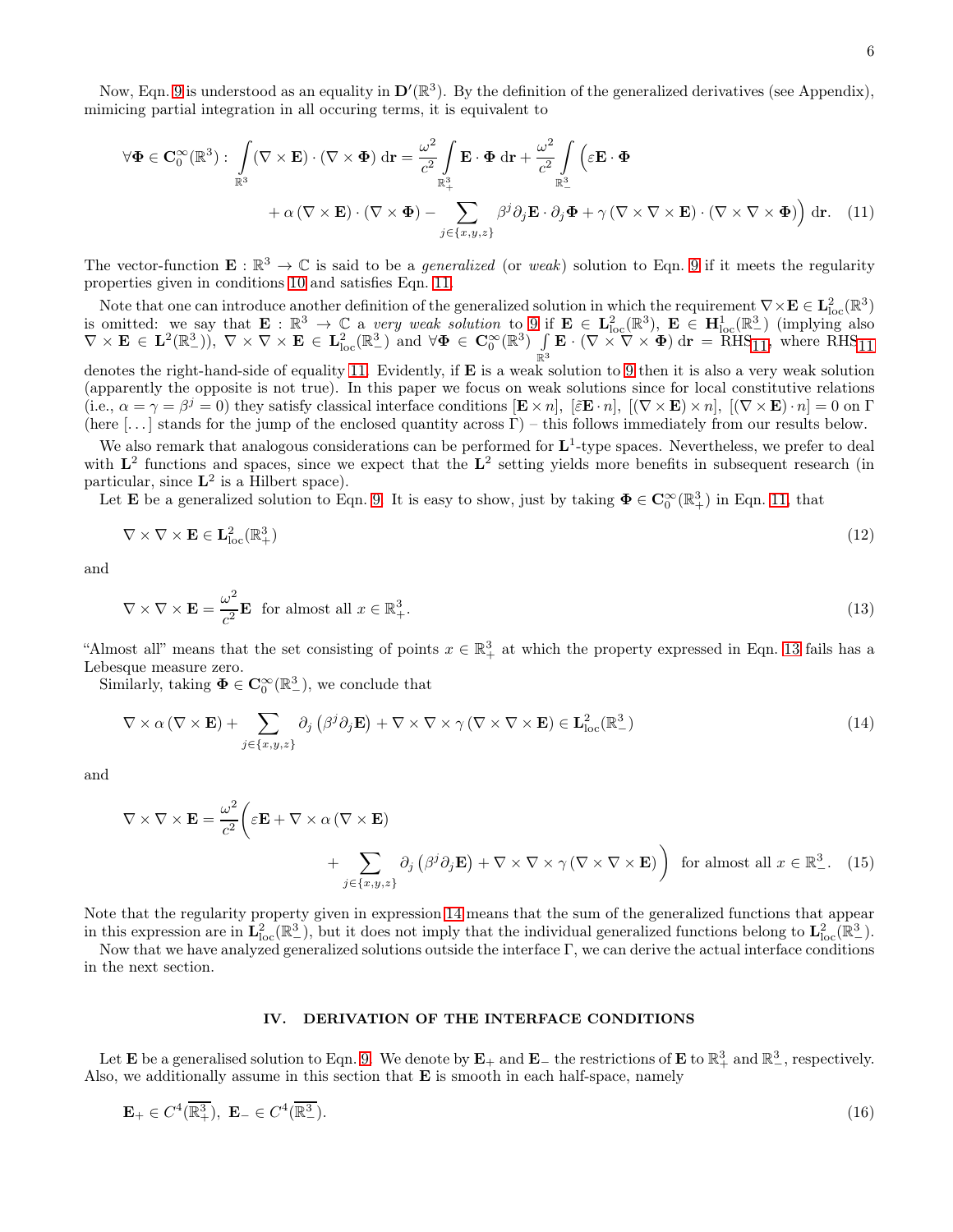<span id="page-5-1"></span>
$$
\forall \Phi \in \mathbf{C}_0^{\infty}(\mathbb{R}^3): \int_{\mathbb{R}^3} (\nabla \times \mathbf{E}) \cdot (\nabla \times \Phi) \, d\mathbf{r} = \frac{\omega^2}{c^2} \int_{\mathbb{R}^3_+} \mathbf{E} \cdot \Phi \, d\mathbf{r} + \frac{\omega^2}{c^2} \int_{\mathbb{R}^3_-} \left( \varepsilon \mathbf{E} \cdot \Phi \right) \, d\mathbf{r} + \alpha \left( \nabla \times \mathbf{E} \right) \cdot \left( \nabla \times \Phi \right) - \sum_{j \in \{x, y, z\}} \beta^j \partial_j \mathbf{E} \cdot \partial_j \Phi + \gamma \left( \nabla \times \nabla \times \mathbf{E} \right) \cdot \left( \nabla \times \nabla \times \Phi \right) \right) d\mathbf{r}.
$$
 (11)

The vector-function  $\mathbf{E}: \mathbb{R}^3 \to \mathbb{C}$  is said to be a *generalized* (or weak) solution to Eqn. [9](#page-4-1) if it meets the regularity properties given in conditions [10](#page-4-2) and satisfies Eqn. [11.](#page-5-1)

Note that one can introduce another definition of the generalized solution in which the requirement  $\nabla \times \mathbf{E} \in \mathbf{L}^2_{\text{loc}}(\mathbb{R}^3)$ is omitted: we say that  $\mathbf{E} : \mathbb{R}^3 \to \mathbb{C}$  a very weak solution to [9](#page-4-1) if  $\mathbf{E} \in \mathbf{L}^2_{\text{loc}}(\mathbb{R}^3)$ ,  $\mathbf{E} \in \mathbf{H}^1_{\text{loc}}(\mathbb{R}^3)$  (implying also  $\nabla \times \mathbf{E} \in \mathbf{L}^{2}(\mathbb{R}^{3}_{-}), \ \nabla \times \nabla \times \mathbf{E} \in \mathbf{L}^{2}_{\text{loc}}(\mathbb{R}^{3}_{-}) \text{ and } \forall \mathbf{\Phi} \in \mathbf{C}_{0}^{\infty}(\mathbb{R}^{3}) \ \ \int$  $\int_{\mathbb{R}^3} \mathbf{E} \cdot (\nabla \times \nabla \times \mathbf{\Phi}) d\mathbf{r} = \overline{\text{RHS}}_{11}$ , where  $\overline{\text{RHS}}_{11}$ 

denotes the right-hand-side of equality [11.](#page-5-1) Evidently, if **E** is a weak solution to [9](#page-4-1) then it is also a very weak solution (apparently the opposite is not true). In this paper we focus on weak solutions since for local constitutive relations (i.e.,  $\alpha = \gamma = \beta^{j} = 0$ ) they satisfy classical interface conditions  $[\mathbf{E} \times n]$ ,  $[\mathbf{E} \times n]$ ,  $[(\nabla \times \mathbf{E}) \times n]$ ,  $[(\nabla \times \mathbf{E}) \cdot n] = 0$  on  $\Gamma$ (here  $[\dots]$  stands for the jump of the enclosed quantity across  $\Gamma$ ) – this follows immediately from our results below.

We also remark that analogous considerations can be performed for  $L^1$ -type spaces. Nevertheless, we prefer to deal with  $\mathbf{L}^2$  functions and spaces, since we expect that the  $\mathbf{L}^2$  setting yields more benefits in subsequent research (in particular, since  $L^2$  is a Hilbert space).

Let **E** be a generalized solution to Eqn. [9.](#page-4-1) It is easy to show, just by taking  $\Phi \in \mathbb{C}_0^{\infty}(\mathbb{R}^3_+)$  in Eqn. [11,](#page-5-1) that

$$
\nabla \times \nabla \times \mathbf{E} \in \mathbf{L}^2_{\text{loc}}(\mathbb{R}^3_+) \tag{12}
$$

and

<span id="page-5-6"></span>
$$
\nabla \times \nabla \times \mathbf{E} = \frac{\omega^2}{c^2} \mathbf{E} \text{ for almost all } x \in \mathbb{R}^3_+.
$$
 (13)

"Almost all" means that the set consisting of points  $x \in \mathbb{R}^3_+$  at which the property expressed in Eqn. [13](#page-5-2) fails has a Lebesque measure zero.

Similarly, taking  $\Phi \in \mathbf{C}_0^{\infty}(\mathbb{R}^3)$ , we conclude that

$$
\nabla \times \alpha (\nabla \times \mathbf{E}) + \sum_{j \in \{x, y, z\}} \partial_j (\beta^j \partial_j \mathbf{E}) + \nabla \times \nabla \times \gamma (\nabla \times \nabla \times \mathbf{E}) \in \mathbf{L}^2_{\text{loc}}(\mathbb{R}^3_-)
$$
(14)

and

$$
\nabla \times \nabla \times \mathbf{E} = \frac{\omega^2}{c^2} \bigg( \varepsilon \mathbf{E} + \nabla \times \alpha \left( \nabla \times \mathbf{E} \right) + \sum_{j \in \{x, y, z\}} \partial_j \left( \beta^j \partial_j \mathbf{E} \right) + \nabla \times \nabla \times \gamma \left( \nabla \times \nabla \times \mathbf{E} \right) \bigg) \text{ for almost all } x \in \mathbb{R}^3_-. \tag{15}
$$

Note that the regularity property given in expression [14](#page-5-3) means that the sum of the generalized functions that appear in this expression are in  $\mathbf{L}^2_{\text{loc}}(\mathbb{R}^3_-)$ , but it does not imply that the individual generalized functions belong to  $\mathbf{L}^2_{\text{loc}}(\mathbb{R}^3_-)$ .

Now that we have analyzed generalized solutions outside the interface Γ, we can derive the actual interface conditions in the next section.

## <span id="page-5-5"></span><span id="page-5-4"></span><span id="page-5-3"></span><span id="page-5-2"></span><span id="page-5-0"></span>IV. DERIVATION OF THE INTERFACE CONDITIONS

Let **E** be a generalised solution to Eqn. [9.](#page-4-1) We denote by  $\mathbf{E}_+$  and  $\mathbf{E}_-$  the restrictions of **E** to  $\mathbb{R}^3_+$  and  $\mathbb{R}^3_-$ , respectively. Also, we additionally assume in this section that  $E$  is smooth in each half-space, namely

$$
\mathbf{E}_{+} \in C^{4}(\overline{\mathbb{R}^{3}_{+}}), \ \mathbf{E}_{-} \in C^{4}(\overline{\mathbb{R}^{3}_{-}}). \tag{16}
$$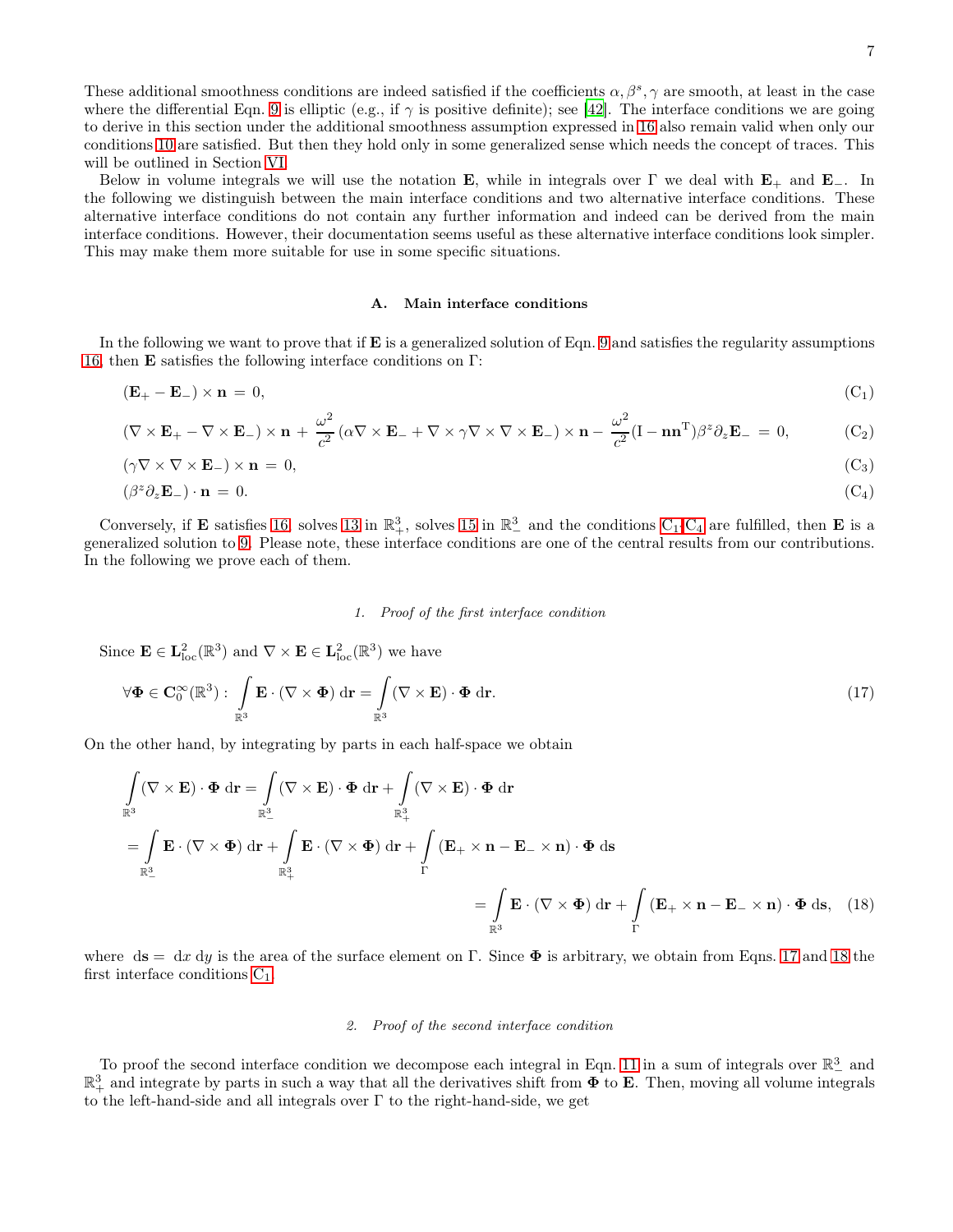These additional smoothness conditions are indeed satisfied if the coefficients  $\alpha, \beta^s, \gamma$  are smooth, at least in the case where the differential Eqn. [9](#page-4-1) is elliptic (e.g., if  $\gamma$  is positive definite); see [\[42\]](#page-20-0). The interface conditions we are going to derive in this section under the additional smoothness assumption expressed in [16](#page-5-4) also remain valid when only our conditions [10](#page-4-2) are satisfied. But then they hold only in some generalized sense which needs the concept of traces. This will be outlined in Section [VI.](#page-13-0)

Below in volume integrals we will use the notation **E**, while in integrals over  $\Gamma$  we deal with  $\mathbf{E}_+$  and  $\mathbf{E}_-$ . In the following we distinguish between the main interface conditions and two alternative interface conditions. These alternative interface conditions do not contain any further information and indeed can be derived from the main interface conditions. However, their documentation seems useful as these alternative interface conditions look simpler. This may make them more suitable for use in some specific situations.

#### <span id="page-6-5"></span><span id="page-6-4"></span><span id="page-6-0"></span>A. Main interface conditions

In the following we want to prove that if  $\bf{E}$  is a generalized solution of Eqn. [9](#page-4-1) and satisfies the regularity assumptions [16,](#page-5-4) then E satisfies the following interface conditions on Γ:

$$
(\mathbf{E}_{+} - \mathbf{E}_{-}) \times \mathbf{n} = 0, \tag{C_1}
$$

$$
(\nabla \times \mathbf{E}_{+} - \nabla \times \mathbf{E}_{-}) \times \mathbf{n} + \frac{\omega^{2}}{c^{2}} (\alpha \nabla \times \mathbf{E}_{-} + \nabla \times \gamma \nabla \times \nabla \times \mathbf{E}_{-}) \times \mathbf{n} - \frac{\omega^{2}}{c^{2}} (\mathbf{I} - \mathbf{n} \mathbf{n}^{\mathrm{T}}) \beta^{z} \partial_{z} \mathbf{E}_{-} = 0, \tag{C_{2}
$$

$$
(\gamma \nabla \times \nabla \times \mathbf{E}_{-}) \times \mathbf{n} = 0, \tag{C_3}
$$

$$
(\beta^z \partial_z \mathbf{E}_-) \cdot \mathbf{n} = 0. \tag{C_4}
$$

Conversely, if **E** satisfies [16,](#page-5-4) solves [13](#page-5-2) in  $\mathbb{R}^3_+$ , solves [15](#page-5-5) in  $\mathbb{R}^3_-$  and the conditions  $C_1$ - $C_4$  are fulfilled, then **E** is a generalized solution to [9.](#page-4-1) Please note, these interface conditions are one of the central results from our contributions. In the following we prove each of them.

## <span id="page-6-2"></span><span id="page-6-1"></span>1. Proof of the first interface condition

Since  $\mathbf{E} \in \mathbf{L}^2_{\text{loc}}(\mathbb{R}^3)$  and  $\nabla \times \mathbf{E} \in \mathbf{L}^2_{\text{loc}}(\mathbb{R}^3)$  we have

$$
\forall \Phi \in \mathbf{C}_0^{\infty}(\mathbb{R}^3): \int_{\mathbb{R}^3} \mathbf{E} \cdot (\nabla \times \Phi) \, \mathrm{d}\mathbf{r} = \int_{\mathbb{R}^3} (\nabla \times \mathbf{E}) \cdot \Phi \, \mathrm{d}\mathbf{r}.
$$
 (17)

On the other hand, by integrating by parts in each half-space we obtain

$$
\int_{\mathbb{R}^3} (\nabla \times \mathbf{E}) \cdot \Phi \, d\mathbf{r} = \int_{\mathbb{R}^3} (\nabla \times \mathbf{E}) \cdot \Phi \, d\mathbf{r} + \int_{\mathbb{R}^3_+} (\nabla \times \mathbf{E}) \cdot \Phi \, d\mathbf{r}
$$
\n
$$
= \int_{\mathbb{R}^3} \mathbf{E} \cdot (\nabla \times \Phi) \, d\mathbf{r} + \int_{\mathbb{R}^3_+} \mathbf{E} \cdot (\nabla \times \Phi) \, d\mathbf{r} + \int_{\Gamma} (\mathbf{E}_+ \times \mathbf{n} - \mathbf{E}_- \times \mathbf{n}) \cdot \Phi \, d\mathbf{s}
$$
\n
$$
= \int_{\mathbb{R}^3} \mathbf{E} \cdot (\nabla \times \Phi) \, d\mathbf{r} + \int_{\Gamma} (\mathbf{E}_+ \times \mathbf{n} - \mathbf{E}_- \times \mathbf{n}) \cdot \Phi \, d\mathbf{s}, \quad (18)
$$

where ds = dx dy is the area of the surface element on Γ. Since  $\Phi$  is arbitrary, we obtain from Eqns. [17](#page-6-2) and [18](#page-6-3) the first interface conditions  $C_1$ .

### <span id="page-6-3"></span>2. Proof of the second interface condition

To proof the second interface condition we decompose each integral in Eqn. [11](#page-5-1) in a sum of integrals over  $\mathbb{R}^3_-$  and  $\mathbb{R}^3_+$  and integrate by parts in such a way that all the derivatives shift from  $\Phi$  to **E**. Then, moving all volume integrals to the left-hand-side and all integrals over  $\Gamma$  to the right-hand-side, we get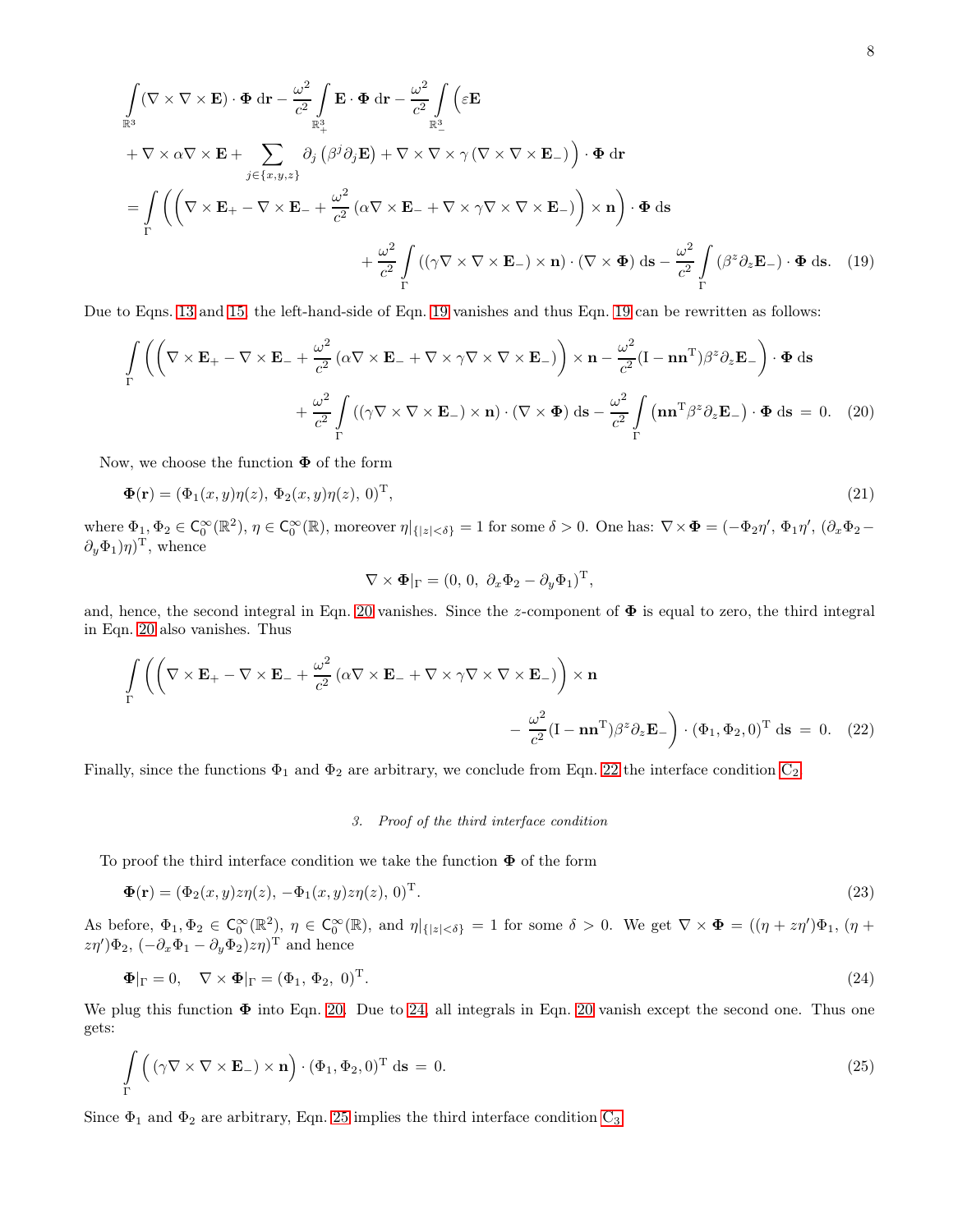$$
\int_{\mathbb{R}^3} (\nabla \times \nabla \times \mathbf{E}) \cdot \Phi \, d\mathbf{r} - \frac{\omega^2}{c^2} \int_{\mathbb{R}^3_+} \mathbf{E} \cdot \Phi \, d\mathbf{r} - \frac{\omega^2}{c^2} \int_{\mathbb{R}^3_-} \left( \varepsilon \mathbf{E} + \nabla \times \alpha \nabla \times \mathbf{E} + \sum_{j \in \{x, y, z\}} \partial_j \left( \beta^j \partial_j \mathbf{E} \right) + \nabla \times \nabla \times \gamma \left( \nabla \times \nabla \times \mathbf{E} \right) \right) \cdot \Phi \, d\mathbf{r}
$$
\n
$$
= \int_{\Gamma} \left( \left( \nabla \times \mathbf{E}_+ - \nabla \times \mathbf{E}_- + \frac{\omega^2}{c^2} \left( \alpha \nabla \times \mathbf{E}_- + \nabla \times \gamma \nabla \times \nabla \times \mathbf{E}_- \right) \right) \times \mathbf{n} \right) \cdot \Phi \, d\mathbf{s}
$$
\n
$$
+ \frac{\omega^2}{c^2} \int_{\Gamma} \left( (\gamma \nabla \times \nabla \times \mathbf{E}_-) \times \mathbf{n} \right) \cdot (\nabla \times \Phi) \, d\mathbf{s} - \frac{\omega^2}{c^2} \int_{\Gamma} \left( \beta^z \partial_z \mathbf{E}_- \right) \cdot \Phi \, d\mathbf{s}.
$$
\n(19)

Due to Eqns. [13](#page-5-2) and [15,](#page-5-5) the left-hand-side of Eqn. [19](#page-7-0) vanishes and thus Eqn. [19](#page-7-0) can be rewritten as follows:

$$
\int_{\Gamma} \left( \left( \nabla \times \mathbf{E}_{+} - \nabla \times \mathbf{E}_{-} + \frac{\omega^{2}}{c^{2}} \left( \alpha \nabla \times \mathbf{E}_{-} + \nabla \times \gamma \nabla \times \nabla \times \mathbf{E}_{-} \right) \right) \times \mathbf{n} - \frac{\omega^{2}}{c^{2}} (\mathbf{I} - \mathbf{n} \mathbf{n}^{\mathrm{T}}) \beta^{z} \partial_{z} \mathbf{E}_{-} \right) \cdot \mathbf{\Phi} \, \mathrm{d}\mathbf{s}
$$

$$
+ \frac{\omega^{2}}{c^{2}} \int_{\Gamma} \left( (\gamma \nabla \times \nabla \times \mathbf{E}_{-}) \times \mathbf{n} \right) \cdot (\nabla \times \mathbf{\Phi}) \, \mathrm{d}\mathbf{s} - \frac{\omega^{2}}{c^{2}} \int_{\Gamma} (\mathbf{n} \mathbf{n}^{\mathrm{T}} \beta^{z} \partial_{z} \mathbf{E}_{-}) \cdot \mathbf{\Phi} \, \mathrm{d}\mathbf{s} = 0. \quad (20)
$$

Now, we choose the function  $\Phi$  of the form

$$
\mathbf{\Phi}(\mathbf{r}) = (\Phi_1(x, y)\eta(z), \Phi_2(x, y)\eta(z), 0)^{\mathrm{T}}, \tag{21}
$$

where  $\Phi_1, \Phi_2 \in C_0^{\infty}(\mathbb{R}^2)$ ,  $\eta \in C_0^{\infty}(\mathbb{R})$ , moreover  $\eta|_{\{|z| < \delta\}} = 1$  for some  $\delta > 0$ . One has:  $\nabla \times \Phi = (-\Phi_2 \eta', \Phi_1 \eta', (\partial_x \Phi_2 - \partial_y \phi_1, \partial_y \phi_2 - \partial_z \phi_1)]$  $(\partial_y \Phi_1)\eta$ <sup>T</sup>, whence

<span id="page-7-5"></span><span id="page-7-2"></span><span id="page-7-1"></span><span id="page-7-0"></span>
$$
\nabla \times \mathbf{\Phi}|_{\Gamma} = (0, 0, \ \partial_x \Phi_2 - \partial_y \Phi_1)^{\mathrm{T}},
$$

and, hence, the second integral in Eqn. [20](#page-7-1) vanishes. Since the z-component of  $\Phi$  is equal to zero, the third integral in Eqn. [20](#page-7-1) also vanishes. Thus

$$
\int_{\Gamma} \left( \left( \nabla \times \mathbf{E}_{+} - \nabla \times \mathbf{E}_{-} + \frac{\omega^{2}}{c^{2}} \left( \alpha \nabla \times \mathbf{E}_{-} + \nabla \times \gamma \nabla \times \nabla \times \mathbf{E}_{-} \right) \right) \times \mathbf{n} - \frac{\omega^{2}}{c^{2}} (\mathbf{I} - \mathbf{n} \mathbf{n}^{\mathrm{T}}) \beta^{z} \partial_{z} \mathbf{E}_{-} \right) \cdot (\Phi_{1}, \Phi_{2}, 0)^{\mathrm{T}} \, \mathrm{d}\mathbf{s} = 0. \quad (22)
$$

Finally, since the functions  $\Phi_1$  and  $\Phi_2$  are arbitrary, we conclude from Eqn. [22](#page-7-2) the interface condition  $C_2$ .

# <span id="page-7-6"></span><span id="page-7-4"></span><span id="page-7-3"></span>3. Proof of the third interface condition

To proof the third interface condition we take the function  $\Phi$  of the form

$$
\mathbf{\Phi}(\mathbf{r}) = (\Phi_2(x, y)z\eta(z), -\Phi_1(x, y)z\eta(z), 0)^{\mathrm{T}}.
$$
\n(23)

As before,  $\Phi_1, \Phi_2 \in C_0^{\infty}(\mathbb{R}^2)$ ,  $\eta \in C_0^{\infty}(\mathbb{R})$ , and  $\eta|_{\{|z| < \delta\}} = 1$  for some  $\delta > 0$ . We get  $\nabla \times \mathbf{\Phi} = ((\eta + z\eta')\Phi_1, (\eta + z\eta')\Phi_2, (\eta + z\eta')\Phi_3, (\eta + z\eta')\Phi_4, (\eta + z\eta')\Phi_5, (\eta + z\eta')\Phi_6, (\eta + z\eta')\Phi_7, (\eta + z\eta')\Phi_$  $(z\eta')\Phi_2, \,(-\partial_x\Phi_1-\partial_y\Phi_2)z\eta)^{\mathrm{T}}$  and hence

$$
\mathbf{\Phi}|_{\Gamma} = 0, \quad \nabla \times \mathbf{\Phi}|_{\Gamma} = (\Phi_1, \Phi_2, 0)^{\mathrm{T}}.
$$
\n(24)

We plug this function  $\Phi$  into Eqn. [20.](#page-7-1) Due to [24,](#page-7-3) all integrals in Eqn. [20](#page-7-1) vanish except the second one. Thus one gets:

$$
\int_{\Gamma} \left( (\gamma \nabla \times \nabla \times \mathbf{E}_{-}) \times \mathbf{n} \right) \cdot (\Phi_{1}, \Phi_{2}, 0)^{\mathrm{T}} \, \mathrm{d}\mathbf{s} = 0. \tag{25}
$$

Since  $\Phi_1$  and  $\Phi_2$  are arbitrary, Eqn. [25](#page-7-4) implies the third interface condition  $C_3$ .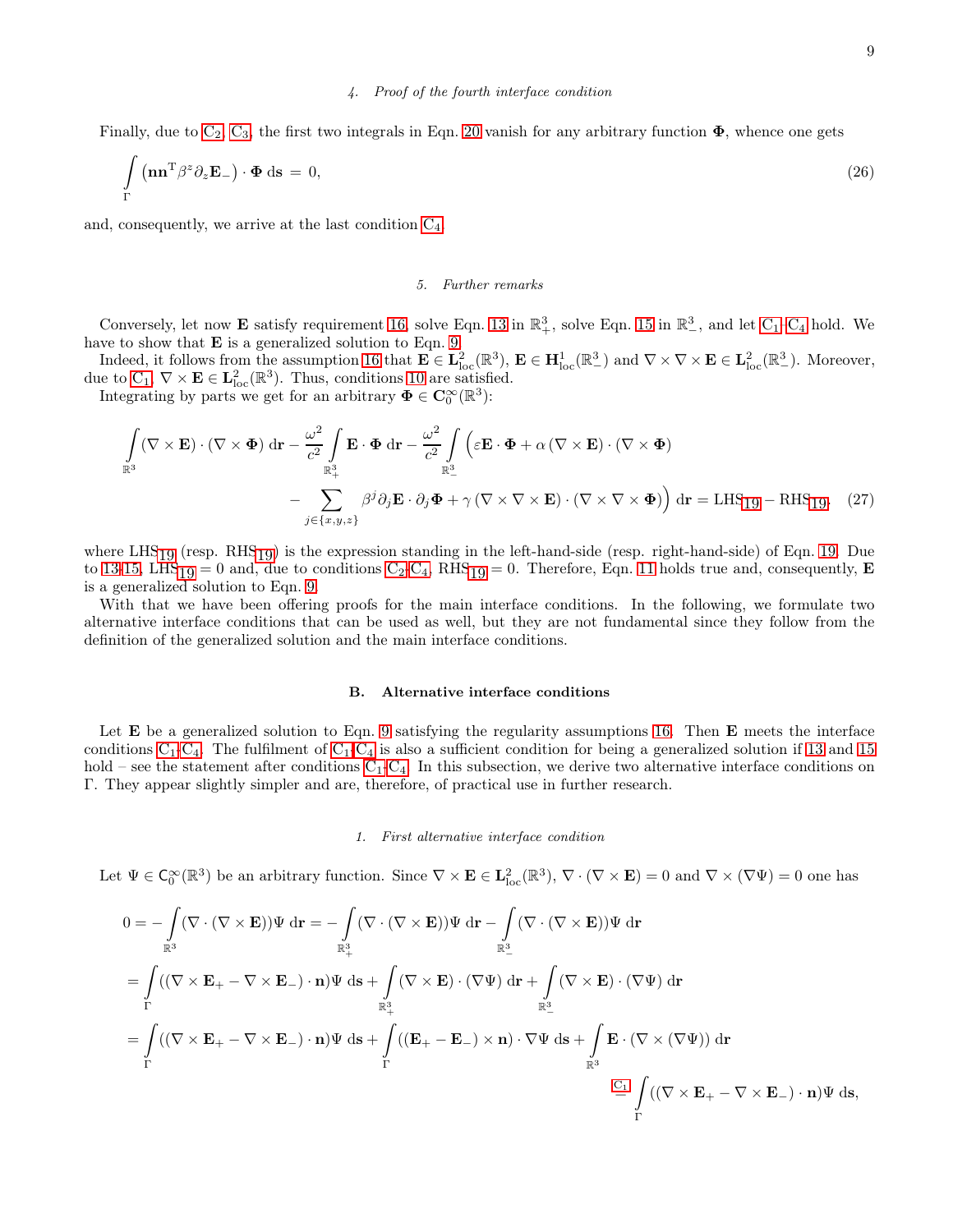Finally, due to  $C_2$ ,  $C_3$ , the first two integrals in Eqn. [20](#page-7-1) vanish for any arbitrary function  $\Phi$ , whence one gets

$$
\int_{\Gamma} (\mathbf{n} \mathbf{n}^{\mathrm{T}} \beta^z \partial_z \mathbf{E}_-) \cdot \mathbf{\Phi} \, \mathrm{d} \mathbf{s} = 0,\tag{26}
$$

and, consequently, we arrive at the last condition  $C_4$ .

### 5. Further remarks

Conversely, let now **E** satisfy requirement [16,](#page-5-4) solve Eqn. [13](#page-5-2) in  $\mathbb{R}^3_+$ , solve Eqn. [15](#page-5-5) in  $\mathbb{R}^3_-$ , and let  $C_1-C_4$  hold. We have to show that  $E$  is a generalized solution to Eqn. [9.](#page-4-1)

Indeed, it follows from the assumption [16](#page-5-4) that  $\mathbf{E} \in \mathbf{L}^2_{\text{loc}}(\mathbb{R}^3)$ ,  $\mathbf{E} \in \mathbf{H}^1_{\text{loc}}(\mathbb{R}^3)$  and  $\nabla \times \nabla \times \mathbf{E} \in \mathbf{L}^2_{\text{loc}}(\mathbb{R}^3)$ . Moreover, due to  $C_1$ ,  $\nabla \times \mathbf{E} \in \mathbf{L}^2_{loc}(\mathbb{R}^3)$ . Thus, conditions [10](#page-4-2) are satisfied.

Integrating by parts we get for an arbitrary  $\mathbf{\Phi} \in \mathbf{C}_0^{\infty}(\mathbb{R}^3)$ :

$$
\int_{\mathbb{R}^3} (\nabla \times \mathbf{E}) \cdot (\nabla \times \mathbf{\Phi}) \, d\mathbf{r} - \frac{\omega^2}{c^2} \int_{\mathbb{R}^3_+} \mathbf{E} \cdot \mathbf{\Phi} \, d\mathbf{r} - \frac{\omega^2}{c^2} \int_{\mathbb{R}^3_-} \left( \varepsilon \mathbf{E} \cdot \mathbf{\Phi} + \alpha (\nabla \times \mathbf{E}) \cdot (\nabla \times \mathbf{\Phi}) \right) \, d\mathbf{r} = LHS_{19} - RHS_{19}. \tag{27}
$$

where  $LHS_{19}$  (resp.  $RHS_{19}$ ) is the expression standing in the left-hand-side (resp. right-hand-side) of Eqn. [19.](#page-7-0) Due to [13-](#page-5-2)[15,](#page-5-5) LHS<sub>19</sub> = 0 and, due to conditions  $C_2-C_4$  $C_2-C_4$  $C_2-C_4$ , RHS<sub>19</sub> = 0. Therefore, Eqn. [11](#page-5-1) holds true and, consequently, **E** is a generalized solution to Eqn. [9.](#page-4-1)

With that we have been offering proofs for the main interface conditions. In the following, we formulate two alternative interface conditions that can be used as well, but they are not fundamental since they follow from the definition of the generalized solution and the main interface conditions.

#### B. Alternative interface conditions

Let **E** be a generalized solution to Eqn. [9](#page-4-1) satisfying the regularity assumptions [16.](#page-5-4) Then **E** meets the interface conditions  $C_1-C_4$  $C_1-C_4$  $C_1-C_4$ . The fulfilment of  $C_1-C_4$  is also a sufficient condition for being a generalized solution if [13](#page-5-2) and [15](#page-5-5) hold – see the statement after conditions  $C_1-C_4$  $C_1-C_4$  $C_1-C_4$ . In this subsection, we derive two alternative interface conditions on Γ. They appear slightly simpler and are, therefore, of practical use in further research.

#### 1. First alternative interface condition

Let  $\Psi \in \mathsf{C}_0^{\infty}(\mathbb{R}^3)$  be an arbitrary function. Since  $\nabla \times \mathbf{E} \in \mathbf{L}^2_{\text{loc}}(\mathbb{R}^3)$ ,  $\nabla \cdot (\nabla \times \mathbf{E}) = 0$  and  $\nabla \times (\nabla \Psi) = 0$  one has

$$
0 = -\int_{\mathbb{R}^3} (\nabla \cdot (\nabla \times \mathbf{E})) \Psi \, d\mathbf{r} = -\int_{\mathbb{R}^3_+} (\nabla \cdot (\nabla \times \mathbf{E})) \Psi \, d\mathbf{r} - \int_{\mathbb{R}^3_+} (\nabla \cdot (\nabla \times \mathbf{E})) \Psi \, d\mathbf{r}
$$
  
\n
$$
= \int_{\Gamma} ((\nabla \times \mathbf{E}_+ - \nabla \times \mathbf{E}_-) \cdot \mathbf{n}) \Psi \, d\mathbf{s} + \int_{\mathbb{R}^3_+} (\nabla \times \mathbf{E}) \cdot (\nabla \Psi) \, d\mathbf{r} + \int_{\mathbb{R}^3_-} (\nabla \times \mathbf{E}) \cdot (\nabla \Psi) \, d\mathbf{r}
$$
  
\n
$$
= \int_{\Gamma} ((\nabla \times \mathbf{E}_+ - \nabla \times \mathbf{E}_-) \cdot \mathbf{n}) \Psi \, d\mathbf{s} + \int_{\Gamma} ((\mathbf{E}_+ - \mathbf{E}_-) \times \mathbf{n}) \cdot \nabla \Psi \, d\mathbf{s} + \int_{\mathbb{R}^3} \mathbf{E} \cdot (\nabla \times (\nabla \Psi)) \, d\mathbf{r}
$$
  
\n
$$
\stackrel{C_1}{=} \int_{\Gamma} ((\nabla \times \mathbf{E}_+ - \nabla \times \mathbf{E}_-) \cdot \mathbf{n}) \Psi \, d\mathbf{s},
$$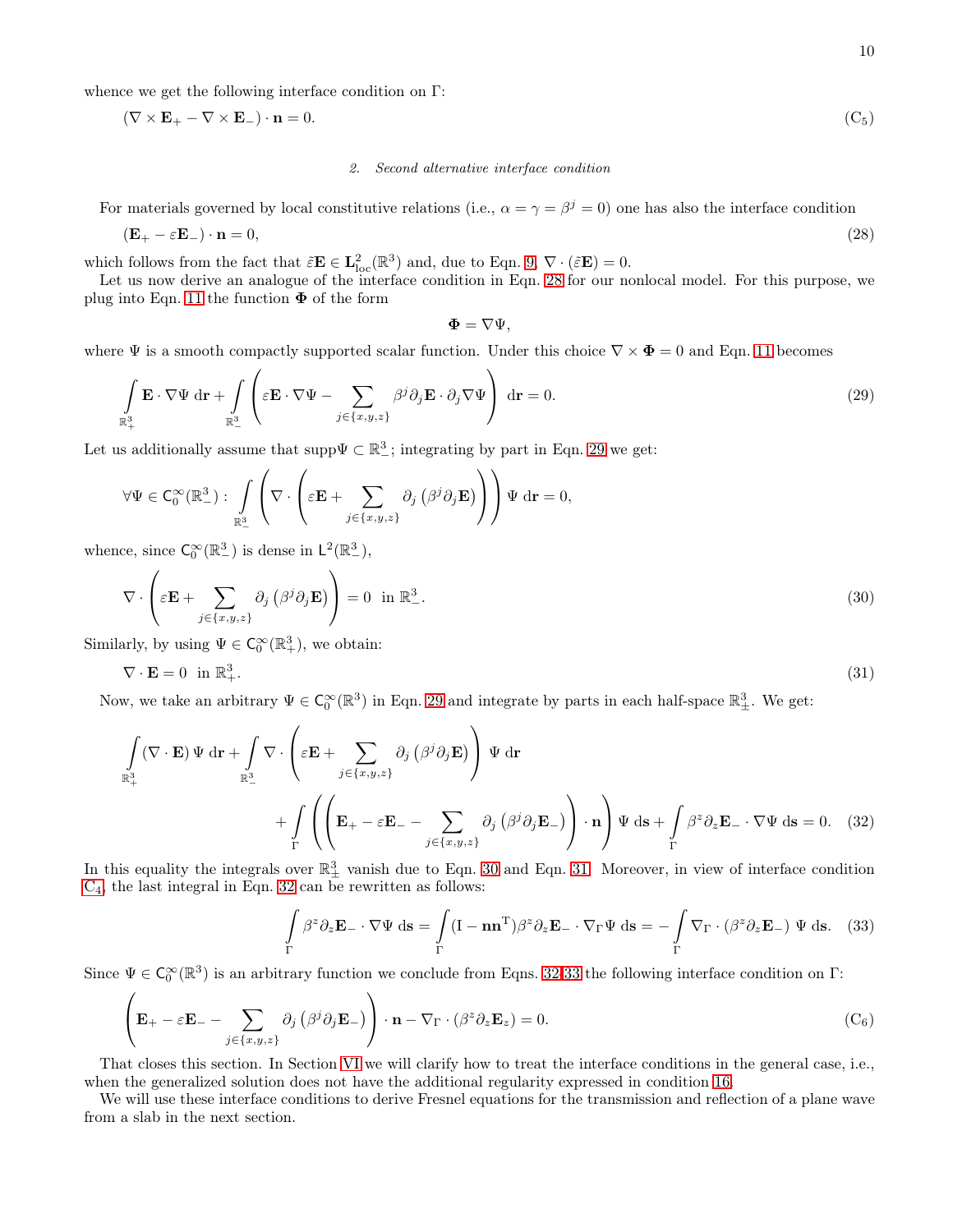whence we get the following interface condition on Γ:

$$
(\nabla \times \mathbf{E}_{+} - \nabla \times \mathbf{E}_{-}) \cdot \mathbf{n} = 0. \tag{C_5}
$$

#### 2. Second alternative interface condition

For materials governed by local constitutive relations (i.e.,  $\alpha = \gamma = \beta^j = 0$ ) one has also the interface condition

$$
(\mathbf{E}_{+} - \varepsilon \mathbf{E}_{-}) \cdot \mathbf{n} = 0, \tag{28}
$$

which follows from the fact that  $\tilde{\varepsilon} \mathbf{E} \in \mathbf{L}^2_{\text{loc}}(\mathbb{R}^3)$  and, due to Eqn. [9,](#page-4-1)  $\nabla \cdot (\tilde{\varepsilon} \mathbf{E}) = 0$ .

Let us now derive an analogue of the interface condition in Eqn. [28](#page-9-0) for our nonlocal model. For this purpose, we plug into Eqn. [11](#page-5-1) the function  $\Phi$  of the form

<span id="page-9-6"></span><span id="page-9-3"></span><span id="page-9-2"></span><span id="page-9-1"></span><span id="page-9-0"></span>
$$
\pmb{\Phi}=\nabla\Psi,
$$

where  $\Psi$  is a smooth compactly supported scalar function. Under this choice  $\nabla \times \Phi = 0$  and Eqn. [11](#page-5-1) becomes

$$
\int_{\mathbb{R}^3_+} \mathbf{E} \cdot \nabla \Psi \, d\mathbf{r} + \int_{\mathbb{R}^3_-} \left( \varepsilon \mathbf{E} \cdot \nabla \Psi - \sum_{j \in \{x, y, z\}} \beta^j \partial_j \mathbf{E} \cdot \partial_j \nabla \Psi \right) \, d\mathbf{r} = 0.
$$
\n(29)

Let us additionally assume that supp $\Psi \subset \mathbb{R}^3$ ; integrating by part in Eqn. [29](#page-9-1) we get:

$$
\forall \Psi \in \mathrm{C}_0^{\infty}(\mathbb{R}^3_-): \int\limits_{\mathbb{R}^3_+} \left(\nabla \cdot \left(\varepsilon \mathbf{E} + \sum_{j \in \{x,y,z\}} \partial_j \left(\beta^j \partial_j \mathbf{E}\right) \right) \right) \Psi \, \mathrm{d}\mathbf{r} = 0,
$$

whence, since  $C_0^{\infty}(\mathbb{R}^3_-)$  is dense in  $L^2(\mathbb{R}^3_-)$ ,

$$
\nabla \cdot \left( \varepsilon \mathbf{E} + \sum_{j \in \{x, y, z\}} \partial_j \left( \beta^j \partial_j \mathbf{E} \right) \right) = 0 \text{ in } \mathbb{R}^3_-. \tag{30}
$$

Similarly, by using  $\Psi \in C_0^{\infty}(\mathbb{R}^3_+)$ , we obtain:

$$
\nabla \cdot \mathbf{E} = 0 \quad \text{in } \mathbb{R}^3_+ \,. \tag{31}
$$

Now, we take an arbitrary  $\Psi \in \mathsf{C}_0^{\infty}(\mathbb{R}^3)$  in Eqn. [29](#page-9-1) and integrate by parts in each half-space  $\mathbb{R}^3_{\pm}$ . We get:

$$
\int_{\mathbb{R}^3_+} (\nabla \cdot \mathbf{E}) \Psi \, d\mathbf{r} + \int_{\mathbb{R}^3_-} \nabla \cdot \left( \varepsilon \mathbf{E} + \sum_{j \in \{x, y, z\}} \partial_j \left( \beta^j \partial_j \mathbf{E} \right) \right) \Psi \, d\mathbf{r} + \int_{\Gamma} \left( \left( \mathbf{E}_+ - \varepsilon \mathbf{E}_- - \sum_{j \in \{x, y, z\}} \partial_j \left( \beta^j \partial_j \mathbf{E}_- \right) \right) \cdot \mathbf{n} \right) \Psi \, d\mathbf{s} + \int_{\Gamma} \beta^z \partial_z \mathbf{E}_- \cdot \nabla \Psi \, d\mathbf{s} = 0. \tag{32}
$$

In this equality the integrals over  $\mathbb{R}^3_{\pm}$  vanish due to Eqn. [30](#page-9-2) and Eqn. [31.](#page-9-3) Moreover, in view of interface condition  $C_4$  $C_4$ , the last integral in Eqn. [32](#page-9-4) can be rewritten as follows:

<span id="page-9-7"></span><span id="page-9-5"></span><span id="page-9-4"></span>
$$
\int_{\Gamma} \beta^z \partial_z \mathbf{E}_- \cdot \nabla \Psi \, \mathrm{d}\mathbf{s} = \int_{\Gamma} (\mathbf{I} - \mathbf{n}\mathbf{n}^{\mathrm{T}}) \beta^z \partial_z \mathbf{E}_- \cdot \nabla_{\Gamma} \Psi \, \mathrm{d}\mathbf{s} = -\int_{\Gamma} \nabla_{\Gamma} \cdot (\beta^z \partial_z \mathbf{E}_-) \Psi \, \mathrm{d}\mathbf{s}.
$$
 (33)

Since  $\Psi \in C_0^{\infty}(\mathbb{R}^3)$  is an arbitrary function we conclude from Eqns. [32](#page-9-4)[-33](#page-9-5) the following interface condition on  $\Gamma$ :

$$
\left(\mathbf{E}_{+} - \varepsilon \mathbf{E}_{-} - \sum_{j \in \{x, y, z\}} \partial_{j} \left(\beta^{j} \partial_{j} \mathbf{E}_{-}\right)\right) \cdot \mathbf{n} - \nabla_{\Gamma} \cdot \left(\beta^{z} \partial_{z} \mathbf{E}_{z}\right) = 0.
$$
 (C<sub>6</sub>)

That closes this section. In Section [VI](#page-13-0) we will clarify how to treat the interface conditions in the general case, i.e., when the generalized solution does not have the additional regularity expressed in condition [16.](#page-5-4)

We will use these interface conditions to derive Fresnel equations for the transmission and reflection of a plane wave from a slab in the next section.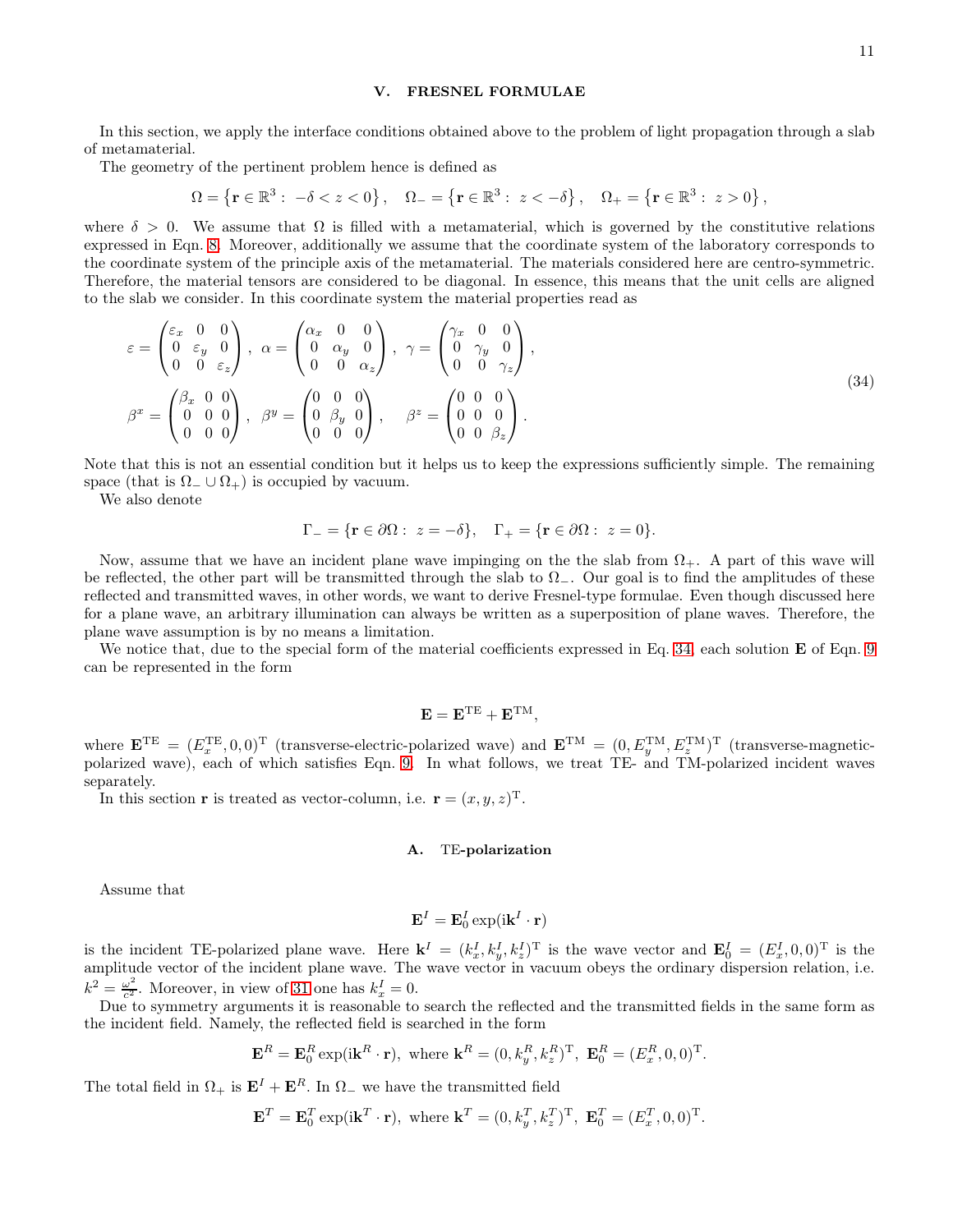#### <span id="page-10-0"></span>V. FRESNEL FORMULAE

In this section, we apply the interface conditions obtained above to the problem of light propagation through a slab of metamaterial.

The geometry of the pertinent problem hence is defined as

$$
\Omega = \left\{ \mathbf{r} \in \mathbb{R}^3 : \ -\delta < z < 0 \right\}, \quad \Omega_- = \left\{ \mathbf{r} \in \mathbb{R}^3 : \ z < -\delta \right\}, \quad \Omega_+ = \left\{ \mathbf{r} \in \mathbb{R}^3 : \ z > 0 \right\},
$$

where  $\delta > 0$ . We assume that  $\Omega$  is filled with a metamaterial, which is governed by the constitutive relations expressed in Eqn. [8.](#page-4-3) Moreover, additionally we assume that the coordinate system of the laboratory corresponds to the coordinate system of the principle axis of the metamaterial. The materials considered here are centro-symmetric. Therefore, the material tensors are considered to be diagonal. In essence, this means that the unit cells are aligned to the slab we consider. In this coordinate system the material properties read as

$$
\varepsilon = \begin{pmatrix} \varepsilon_x & 0 & 0 \\ 0 & \varepsilon_y & 0 \\ 0 & 0 & \varepsilon_z \end{pmatrix}, \ \alpha = \begin{pmatrix} \alpha_x & 0 & 0 \\ 0 & \alpha_y & 0 \\ 0 & 0 & \alpha_z \end{pmatrix}, \ \gamma = \begin{pmatrix} \gamma_x & 0 & 0 \\ 0 & \gamma_y & 0 \\ 0 & 0 & \gamma_z \end{pmatrix},
$$

$$
\beta^x = \begin{pmatrix} \beta_x & 0 & 0 \\ 0 & 0 & 0 \\ 0 & 0 & 0 \end{pmatrix}, \ \beta^y = \begin{pmatrix} 0 & 0 & 0 \\ 0 & \beta_y & 0 \\ 0 & 0 & 0 \end{pmatrix}, \ \beta^z = \begin{pmatrix} 0 & 0 & 0 \\ 0 & 0 & 0 \\ 0 & 0 & \beta_z \end{pmatrix}.
$$
 (34)

Note that this is not an essential condition but it helps us to keep the expressions sufficiently simple. The remaining space (that is  $\Omega$  ∪  $\Omega$  +) is occupied by vacuum.

We also denote

$$
\Gamma_{-} = \{ \mathbf{r} \in \partial \Omega : z = -\delta \}, \quad \Gamma_{+} = \{ \mathbf{r} \in \partial \Omega : z = 0 \}.
$$

Now, assume that we have an incident plane wave impinging on the the slab from  $\Omega_{+}$ . A part of this wave will be reflected, the other part will be transmitted through the slab to  $\Omega$ <sub>−</sub>. Our goal is to find the amplitudes of these reflected and transmitted waves, in other words, we want to derive Fresnel-type formulae. Even though discussed here for a plane wave, an arbitrary illumination can always be written as a superposition of plane waves. Therefore, the plane wave assumption is by no means a limitation.

We notice that, due to the special form of the material coefficients expressed in Eq. [34,](#page-10-1) each solution **E** of Eqn. [9](#page-4-1) can be represented in the form

<span id="page-10-1"></span>
$$
\mathbf{E} = \mathbf{E}^{\mathrm{TE}} + \mathbf{E}^{\mathrm{TM}},
$$

where  $\mathbf{E}^{\text{TE}} = (E_x^{\text{TE}}, 0, 0)^{\text{T}}$  (transverse-electric-polarized wave) and  $\mathbf{E}^{\text{TM}} = (0, E_y^{\text{TM}}, E_z^{\text{TM}})^{\text{T}}$  (transverse-magneticpolarized wave), each of which satisfies Eqn. [9.](#page-4-1) In what follows, we treat TE- and TM-polarized incident waves separately.

In this section **r** is treated as vector-column, i.e.  $\mathbf{r} = (x, y, z)^{\mathrm{T}}$ .

#### A. TE-polarization

Assume that

$$
\mathbf{E}^I = \mathbf{E}_0^I \exp(\mathrm{i} \mathbf{k}^I \cdot \mathbf{r})
$$

is the incident TE-polarized plane wave. Here  $\mathbf{k}^I = (k_x^I, k_y^I, k_z^I)^T$  is the wave vector and  $\mathbf{E}_0^I = (E_x^I, 0, 0)^T$  is the amplitude vector of the incident plane wave. The wave vector in vacuum obeys the ordinary dispersion relation, i.e.  $k^2 = \frac{\omega^2}{c^2}$  $\frac{\omega^2}{c^2}$ . Moreover, in view of [31](#page-9-3) one has  $k_x^I = 0$ .

Due to symmetry arguments it is reasonable to search the reflected and the transmitted fields in the same form as the incident field. Namely, the reflected field is searched in the form

$$
\mathbf{E}^R = \mathbf{E}_0^R \exp(i\mathbf{k}^R \cdot \mathbf{r}), \text{ where } \mathbf{k}^R = (0, k_y^R, k_z^R)^T, \ \mathbf{E}_0^R = (E_x^R, 0, 0)^T.
$$

The total field in  $\Omega_+$  is  $\mathbf{E}^I + \mathbf{E}^R$ . In  $\Omega_-$  we have the transmitted field

$$
\mathbf{E}^T = \mathbf{E}_0^T \exp(\mathrm{i} \mathbf{k}^T \cdot \mathbf{r}), \text{ where } \mathbf{k}^T = (0, k_y^T, k_z^T)^T, \ \mathbf{E}_0^T = (E_x^T, 0, 0)^T.
$$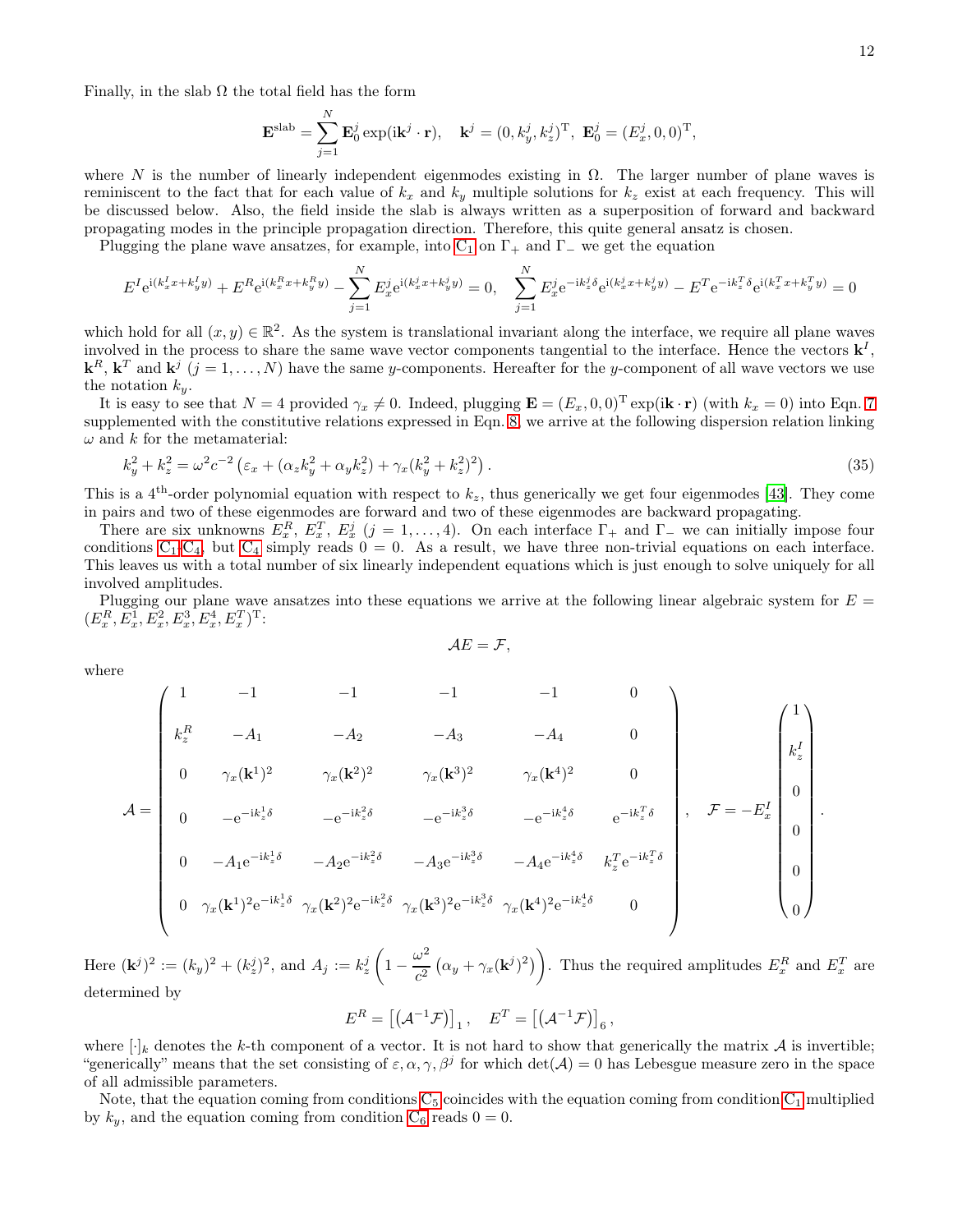Finally, in the slab  $\Omega$  the total field has the form

$$
\mathbf{E}^{\text{slab}} = \sum_{j=1}^{N} \mathbf{E}_{0}^{j} \exp(i\mathbf{k}^{j} \cdot \mathbf{r}), \quad \mathbf{k}^{j} = (0, k_{y}^{j}, k_{z}^{j})^{\text{T}}, \ \mathbf{E}_{0}^{j} = (E_{x}^{j}, 0, 0)^{\text{T}},
$$

where N is the number of linearly independent eigenmodes existing in  $\Omega$ . The larger number of plane waves is reminiscent to the fact that for each value of  $k_x$  and  $k_y$  multiple solutions for  $k_z$  exist at each frequency. This will be discussed below. Also, the field inside the slab is always written as a superposition of forward and backward propagating modes in the principle propagation direction. Therefore, this quite general ansatz is chosen.

Plugging the plane wave ansatzes, for example, into  $C_1$  on  $\Gamma_+$  and  $\Gamma_-$  we get the equation

$$
E^{I}e^{i(k_{x}^{I}x+k_{y}^{I}y)} + E^{R}e^{i(k_{x}^{R}x+k_{y}^{R}y)} - \sum_{j=1}^{N}E_{x}^{j}e^{i(k_{x}^{j}x+k_{y}^{j}y)} = 0, \quad \sum_{j=1}^{N}E_{x}^{j}e^{-ik_{z}^{j}\delta}e^{i(k_{x}^{j}x+k_{y}^{j}y)} - E^{T}e^{-ik_{z}^{T}\delta}e^{i(k_{x}^{T}x+k_{y}^{T}y)} = 0
$$

which hold for all  $(x, y) \in \mathbb{R}^2$ . As the system is translational invariant along the interface, we require all plane waves involved in the process to share the same wave vector components tangential to the interface. Hence the vectors  $\mathbf{k}^I$ ,  $\mathbf{k}^R$ ,  $\mathbf{k}^T$  and  $\mathbf{k}^j$   $(j = 1, \ldots, N)$  have the same y-components. Hereafter for the y-component of all wave vectors we use the notation  $k_y$ .

It is easy to see that  $N = 4$  provided  $\gamma_x \neq 0$ . Indeed, plugging  $\mathbf{E} = (E_x, 0, 0)^T \exp(i\mathbf{k} \cdot \mathbf{r})$  (with  $k_x = 0$ ) into Eqn. [7](#page-4-4) supplemented with the constitutive relations expressed in Eqn. [8,](#page-4-3) we arrive at the following dispersion relation linking  $\omega$  and k for the metamaterial:

$$
k_y^2 + k_z^2 = \omega^2 c^{-2} \left( \varepsilon_x + (\alpha_z k_y^2 + \alpha_y k_z^2) + \gamma_x (k_y^2 + k_z^2)^2 \right). \tag{35}
$$

This is a 4<sup>th</sup>-order polynomial equation with respect to  $k_z$ , thus generically we get four eigenmodes [\[43](#page-20-1)]. They come in pairs and two of these eigenmodes are forward and two of these eigenmodes are backward propagating.

There are six unknowns  $E_x^R$ ,  $E_x^T$ ,  $E_x^j$  ( $j = 1, ..., 4$ ). On each interface  $\Gamma_+$  and  $\Gamma_-$  we can initially impose four conditions  $C_1-C_4$  $C_1-C_4$  $C_1-C_4$ , but  $C_4$  simply reads  $0 = 0$ . As a result, we have three non-trivial equations on each interface. This leaves us with a total number of six linearly independent equations which is just enough to solve uniquely for all involved amplitudes.

Plugging our plane wave ansatzes into these equations we arrive at the following linear algebraic system for  $E =$  $(E_x^R, E_x^1, E_x^2, E_x^3, E_x^4, E_x^T)^T$ :

<span id="page-11-0"></span>
$$
\mathcal{A}E=\mathcal{F},
$$

where

$$
\mathcal{A} = \begin{pmatrix}\n1 & -1 & -1 & -1 & -1 & 0 \\
k_z^R & -A_1 & -A_2 & -A_3 & -A_4 & 0 \\
0 & \gamma_x(\mathbf{k}^1)^2 & \gamma_x(\mathbf{k}^2)^2 & \gamma_x(\mathbf{k}^3)^2 & \gamma_x(\mathbf{k}^4)^2 & 0 \\
0 & -e^{-ik_z^1\delta} & -e^{-ik_z^2\delta} & -e^{-ik_z^3\delta} & -e^{-ik_z^4\delta} & e^{-ik_z^7\delta} \\
0 & -A_1e^{-ik_z^1\delta} & -A_2e^{-ik_z^2\delta} & -A_3e^{-ik_z^3\delta} & -A_4e^{-ik_z^4\delta} & k_z^T e^{-ik_z^T\delta} \\
0 & \gamma_x(\mathbf{k}^1)^2 e^{-ik_z^1\delta} & \gamma_x(\mathbf{k}^2)^2 e^{-ik_z^2\delta} & \gamma_x(\mathbf{k}^3)^2 e^{-ik_z^3\delta} & \gamma_x(\mathbf{k}^4)^2 e^{-ik_z^4\delta} & 0\n\end{pmatrix}, \quad \mathcal{F} = -E_x^I \begin{pmatrix}\n1 \\
k_z^I \\
0 \\
0 \\
0 \\
0\n\end{pmatrix}.
$$

Here  $(\mathbf{k}^j)^2 := (k_y)^2 + (k_z^j)^2$ , and  $A_j := k_z^j$  $\sqrt{ }$  $1-\frac{\omega^2}{2}$  $\frac{\omega^2}{c^2}\left(\alpha_y+\gamma_x({\bf k}^j)^2\right)\Bigg)$ . Thus the required amplitudes  $E_x^R$  and  $E_x^T$  are determined by

$$
E^R = [(\mathcal{A}^{-1}\mathcal{F})]_1, \quad E^T = [(\mathcal{A}^{-1}\mathcal{F})]_6,
$$

where  $[\cdot]_k$  denotes the k-th component of a vector. It is not hard to show that generically the matrix  $\mathcal A$  is invertible; "generically" means that the set consisting of  $\varepsilon, \alpha, \gamma, \beta^j$  for which  $\det(\mathcal{A}) = 0$  has Lebesgue measure zero in the space of all admissible parameters.

Note, that the equation coming from conditions  $C_5$  coincides with the equation coming from condition  $C_1$  multiplied by  $k_y$ , and the equation coming from condition  $C_6$  reads  $0 = 0$ .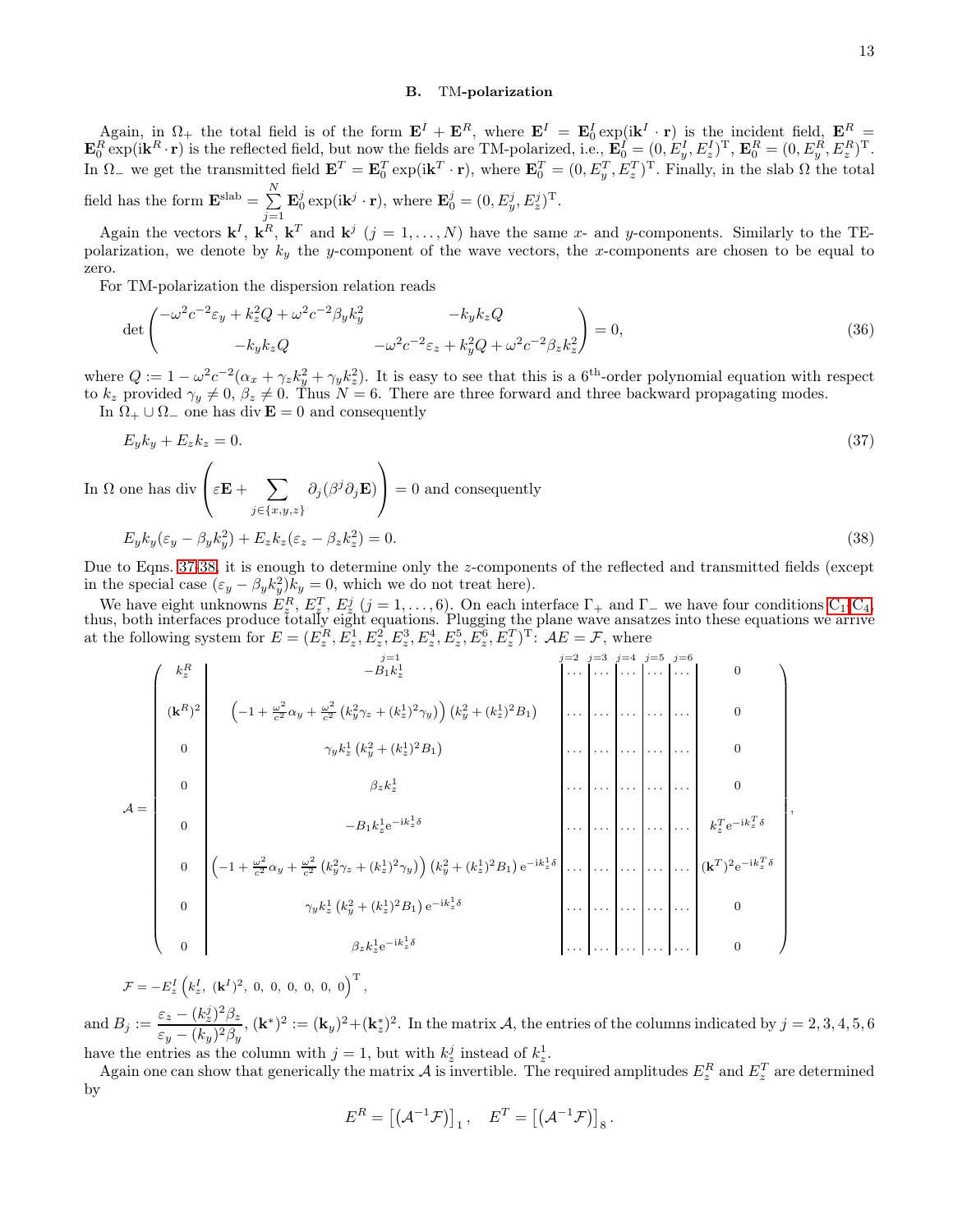### B. TM-polarization

Again, in  $\Omega_+$  the total field is of the form  $\mathbf{E}^I + \mathbf{E}^R$ , where  $\mathbf{E}^I = \mathbf{E}_0^I \exp(i\mathbf{k}^I \cdot \mathbf{r})$  is the incident field,  $\mathbf{E}_0^R =$  $\mathbf{E}_0^R \exp(i\mathbf{k}^R \cdot \mathbf{r})$  is the reflected field, but now the fields are TM-polarized, i.e.,  $\mathbf{E}_0^I = (0, E_y^I, E_z^I)^T$ ,  $\mathbf{E}_0^R = (0, E_y^R, E_z^R)^T$ . In  $\Omega$ <sub>-</sub> we get the transmitted field  $\mathbf{E}^T = \mathbf{E}_0^T \exp(i\mathbf{k}^T \cdot \mathbf{r})$ , where  $\mathbf{E}_0^T = (0, E_y^T, E_z^T)^T$ . Finally, in the slab  $\Omega$  the total field has the form  $\mathbf{E}^{\text{slab}} = \sum_{n=1}^{N}$  $j=1$  $\mathbf{E}_0^j \exp(i\mathbf{k}^j \cdot \mathbf{r}), \text{ where } \mathbf{E}_0^j = (0, E_y^j, E_z^j)^{\mathrm{T}}.$ 

Again the vectors  $\mathbf{k}^I$ ,  $\mathbf{k}^R$ ,  $\mathbf{k}^T$  and  $\mathbf{k}^j$  ( $j = 1, ..., N$ ) have the same x- and y-components. Similarly to the TEpolarization, we denote by  $k_y$  the y-component of the wave vectors, the x-components are chosen to be equal to zero.

For TM-polarization the dispersion relation reads

$$
\det \begin{pmatrix} -\omega^2 c^{-2} \varepsilon_y + k_z^2 Q + \omega^2 c^{-2} \beta_y k_y^2 & -k_y k_z Q \\ -k_y k_z Q & -\omega^2 c^{-2} \varepsilon_z + k_y^2 Q + \omega^2 c^{-2} \beta_z k_z^2 \end{pmatrix} = 0,
$$
\n(36)

where  $Q := 1 - \omega^2 c^{-2} (\alpha_x + \gamma_z k_y^2 + \gamma_y k_z^2)$ . It is easy to see that this is a 6<sup>th</sup>-order polynomial equation with respect to  $k_z$  provided  $\gamma_y \neq 0$ ,  $\beta_z \neq 0$ . Thus  $N = 6$ . There are three forward and three backward propagating modes. In  $\Omega_+ \cup \Omega_-$  one has div  $\mathbf{E} = 0$  and consequently

$$
E_y k_y + E_z k_z = 0.\tag{37}
$$

In 
$$
\Omega
$$
 one has div  $\left(\varepsilon \mathbf{E} + \sum_{j \in \{x, y, z\}} \partial_j (\beta^j \partial_j \mathbf{E})\right) = 0$  and consequently  

$$
E_y k_y(\varepsilon_y - \beta_y k_y^2) + E_z k_z(\varepsilon_z - \beta_z k_z^2) = 0.
$$
 (38)

Due to Eqns. [37-](#page-12-0)[38,](#page-12-1) it is enough to determine only the z-components of the reflected and transmitted fields (except in the special case  $(\varepsilon_y - \beta_y k_y^2) k_y = 0$ , which we do not treat here).

We have eight unknowns  $E_z^R$ ,  $E_z^T$ ,  $E_z^j$  (j = 1, ..., 6). On each interface  $\Gamma_+$  and  $\Gamma_-$  we have four conditions  $C_1$ - $C_4$ , thus, both interfaces produce totally eight equations. Plugging the plane wave ansatzes into these equations we arrive at the following system for  $E = (E_z^R, E_z^1, E_z^2, E_z^3, E_z^4, E_z^5, E_z^6, E_z^T)^T$ :  $AE = \mathcal{F}$ , where

A = j=1 j=2 j=3 j=4 j=5 j=6 k R <sup>z</sup> −B1k 1 z . . . . . . . . . . . . . . . 0 (k R) 2 −1 + <sup>ω</sup> 2 <sup>c</sup><sup>2</sup> <sup>α</sup><sup>y</sup> <sup>+</sup> <sup>ω</sup> 2 c2 k 2 <sup>y</sup>γ<sup>z</sup> + (k 1 z ) <sup>2</sup>γ<sup>y</sup> k 2 <sup>y</sup> + (k 1 z ) <sup>2</sup>B<sup>1</sup> . . . . . . . . . . . . . . . 0 0 γyk 1 z k 2 <sup>y</sup> + (k 1 z ) <sup>2</sup>B<sup>1</sup> . . . . . . . . . . . . . . . 0 0 βzk 1 z . . . . . . . . . . . . . . . 0 0 −B1k 1 z e −ik 1 z δ . . . . . . . . . . . . . . . k T z e−i<sup>k</sup> T z δ 0 −1 + <sup>ω</sup> 2 <sup>c</sup><sup>2</sup> α<sup>y</sup> + ω 2 c2 k 2 <sup>y</sup>γ<sup>z</sup> + (k 1 z ) <sup>2</sup>γ<sup>y</sup> k 2 <sup>y</sup> + (k 1 z ) <sup>2</sup>B<sup>1</sup> e −ik 1 z δ . . . . . . . . . . . . . . . (k T ) 2 e −ik T z δ 0 γyk 1 z k 2 <sup>y</sup> + (k 1 z ) <sup>2</sup>B<sup>1</sup> e −ik 1 z δ . . . . . . . . . . . . . . . 0 0 βzk 1 z e −ik 1 z δ . . . . . . . . . . . . . . . 0 

$$
\mathcal{F} = -E_z^I \left( k_z^I, \ (\mathbf{k}^I)^2, \ 0, \ 0, \ 0, \ 0, \ 0, \ 0 \right)^{\mathrm{T}},
$$

and  $B_j := \frac{\varepsilon_z - (k_z^j)^2 \beta_z}{(k_z)^2 \beta_z}$  $\frac{\varepsilon_z - (\kappa_z^2) \, \beta_z}{\varepsilon_y - (k_y)^2 \beta_y}$ ,  $(\mathbf{k}^*)^2 := (\mathbf{k}_y)^2 + (\mathbf{k}_z^*)^2$ . In the matrix A, the entries of the columns indicated by  $j = 2, 3, 4, 5, 6$ have the entries as the column with  $j = 1$ , but with  $k_z^j$  instead of  $k_z^1$ .

Again one can show that generically the matrix  $\mathcal A$  is invertible. The required amplitudes  $E_z^R$  and  $E_z^T$  are determined by

$$
E^R = \left[ \left( \mathcal{A}^{-1} \mathcal{F} \right) \right]_1, \quad E^T = \left[ \left( \mathcal{A}^{-1} \mathcal{F} \right) \right]_8.
$$

<span id="page-12-2"></span><span id="page-12-1"></span><span id="page-12-0"></span>,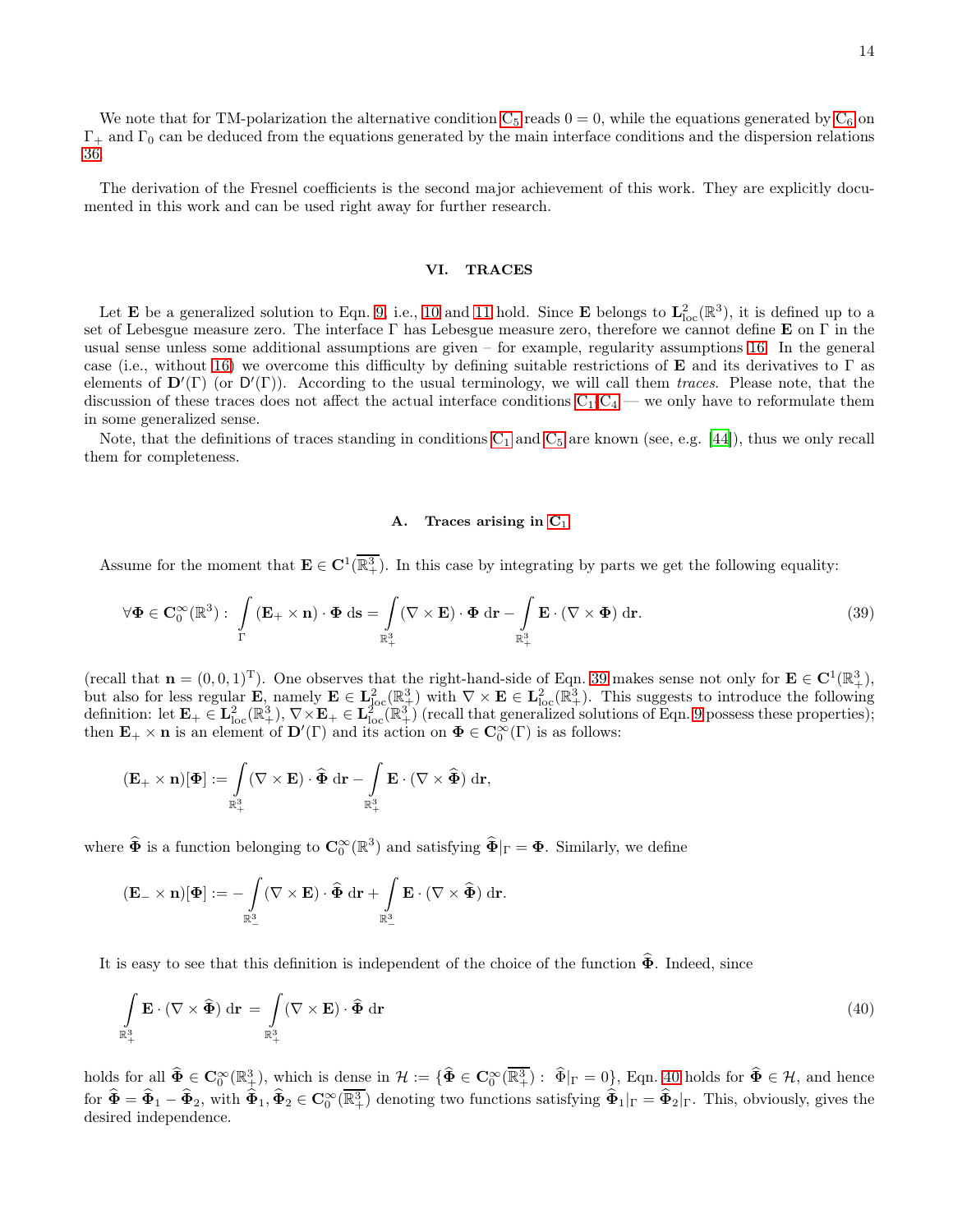14

We note that for TM-polarization the alternative condition  $C_5$  reads  $0 = 0$ , while the equations generated by  $C_6$  on  $\Gamma_+$  and  $\Gamma_0$  can be deduced from the equations generated by the main interface conditions and the dispersion relations [36.](#page-12-2)

The derivation of the Fresnel coefficients is the second major achievement of this work. They are explicitly documented in this work and can be used right away for further research.

#### <span id="page-13-0"></span>VI. TRACES

Let **E** be a generalized solution to Eqn. [9,](#page-4-1) i.e., [10](#page-4-2) and [11](#page-5-1) hold. Since **E** belongs to  $\mathbf{L}^2_{\text{loc}}(\mathbb{R}^3)$ , it is defined up to a set of Lebesgue measure zero. The interface  $\Gamma$  has Lebesgue measure zero, therefore we cannot define **E** on  $\Gamma$  in the usual sense unless some additional assumptions are given – for example, regularity assumptions [16.](#page-5-4) In the general case (i.e., without [16\)](#page-5-4) we overcome this difficulty by defining suitable restrictions of **E** and its derivatives to  $\Gamma$  as elements of  $\mathbf{D}'(\Gamma)$  (or  $\mathbf{D}'(\Gamma)$ ). According to the usual terminology, we will call them traces. Please note, that the discussion of these traces does not affect the actual interface conditions  $C_1-C_4$  $C_1-C_4$  $C_1-C_4$  — we only have to reformulate them in some generalized sense.

Note, that the definitions of traces standing in conditions  $C_1$  and  $C_5$  are known (see, e.g. [\[44](#page-20-2)]), thus we only recall them for completeness.

## <span id="page-13-2"></span><span id="page-13-1"></span>A. Traces arising in  $C_1$

Assume for the moment that  $\mathbf{E} \in \mathbf{C}^1(\overline{\mathbb{R}^3_+})$ . In this case by integrating by parts we get the following equality:

$$
\forall \Phi \in \mathbf{C}_0^{\infty}(\mathbb{R}^3): \int\limits_{\Gamma} \left( \mathbf{E}_+ \times \mathbf{n} \right) \cdot \Phi \, \mathrm{d}s = \int\limits_{\mathbb{R}^3_+} (\nabla \times \mathbf{E}) \cdot \Phi \, \mathrm{d}\mathbf{r} - \int\limits_{\mathbb{R}^3_+} \mathbf{E} \cdot (\nabla \times \Phi) \, \mathrm{d}\mathbf{r}.\tag{39}
$$

(recall that  $\mathbf{n} = (0, 0, 1)^T$ ). One observes that the right-hand-side of Eqn. [39](#page-13-1) makes sense not only for  $\mathbf{E} \in \mathbf{C}^1(\mathbb{R}^3_+),$ but also for less regular **E**, namely  $\mathbf{E} \in L^2_{loc}(\mathbb{R}^3_+)$  with  $\nabla \times \mathbf{E} \in L^2_{loc}(\mathbb{R}^3_+)$ . This suggests to introduce the following definition: let  $\mathbf{E}_{+} \in \mathbf{L}^{2}_{\text{loc}}(\mathbb{R}^{3}_{+}), \nabla \times \mathbf{E}_{+} \in \mathbf{L}^{2}_{\text{loc}}(\mathbb{R}^{3}_{+})$  (recall that generalized solutions of Eqn. [9](#page-4-1) possess these properties); then  $\mathbf{E}_+ \times \mathbf{n}$  is an element of  $\mathbf{D}'(\Gamma)$  and its action on  $\Phi \in \mathbf{C}_0^{\infty}(\Gamma)$  is as follows:

$$
(\mathbf{E}_+\times\mathbf{n})[\Phi]:=\int\limits_{\mathbb{R}^3_+}(\nabla\times\mathbf{E})\cdot\widehat{\Phi}\,\,\mathrm{d}\mathbf{r}-\int\limits_{\mathbb{R}^3_+}\mathbf{E}\cdot(\nabla\times\widehat{\Phi})\,\,\mathrm{d}\mathbf{r},
$$

where  $\widehat{\Phi}$  is a function belonging to  $\mathbf{C}_0^{\infty}(\mathbb{R}^3)$  and satisfying  $\widehat{\Phi}|_{\Gamma} = \Phi$ . Similarly, we define

$$
(\mathbf{E}_-\times\mathbf{n})[\mathbf{\Phi}]:=-\int\limits_{\mathbb{R}^3_-}(\nabla\times\mathbf{E})\cdot\widehat{\mathbf{\Phi}}\,\mathrm{d}\mathbf{r}+\int\limits_{\mathbb{R}^3_-}\mathbf{E}\cdot(\nabla\times\widehat{\mathbf{\Phi}})\,\mathrm{d}\mathbf{r}.
$$

It is easy to see that this definition is independent of the choice of the function  $\hat{\Phi}$ . Indeed, since

$$
\int_{\mathbb{R}^3_+} \mathbf{E} \cdot (\nabla \times \widehat{\Phi}) \, \mathrm{d}\mathbf{r} = \int_{\mathbb{R}^3_+} (\nabla \times \mathbf{E}) \cdot \widehat{\Phi} \, \mathrm{d}\mathbf{r}
$$
\n(40)

holds for all  $\hat{\Phi} \in \mathbf{C}_0^{\infty}(\mathbb{R}^3_+)$ , which is dense in  $\mathcal{H} := \{ \hat{\Phi} \in \mathbf{C}_0^{\infty}(\overline{\mathbb{R}^3_+)}: \hat{\Phi}|_{\Gamma} = 0 \}$ , Eqn. [40](#page-13-2) holds for  $\hat{\Phi} \in \mathcal{H}$ , and hence for  $\widehat{\Phi} = \widehat{\Phi}_1 - \widehat{\Phi}_2$ , with  $\widehat{\Phi}_1, \widehat{\Phi}_2 \in \mathbf{C}_0^{\infty}(\overline{\mathbb{R}^3_+})$  denoting two functions satisfying  $\widehat{\Phi}_1|_{\Gamma} = \widehat{\Phi}_2|_{\Gamma}$ . This, obviously, gives the desired independence.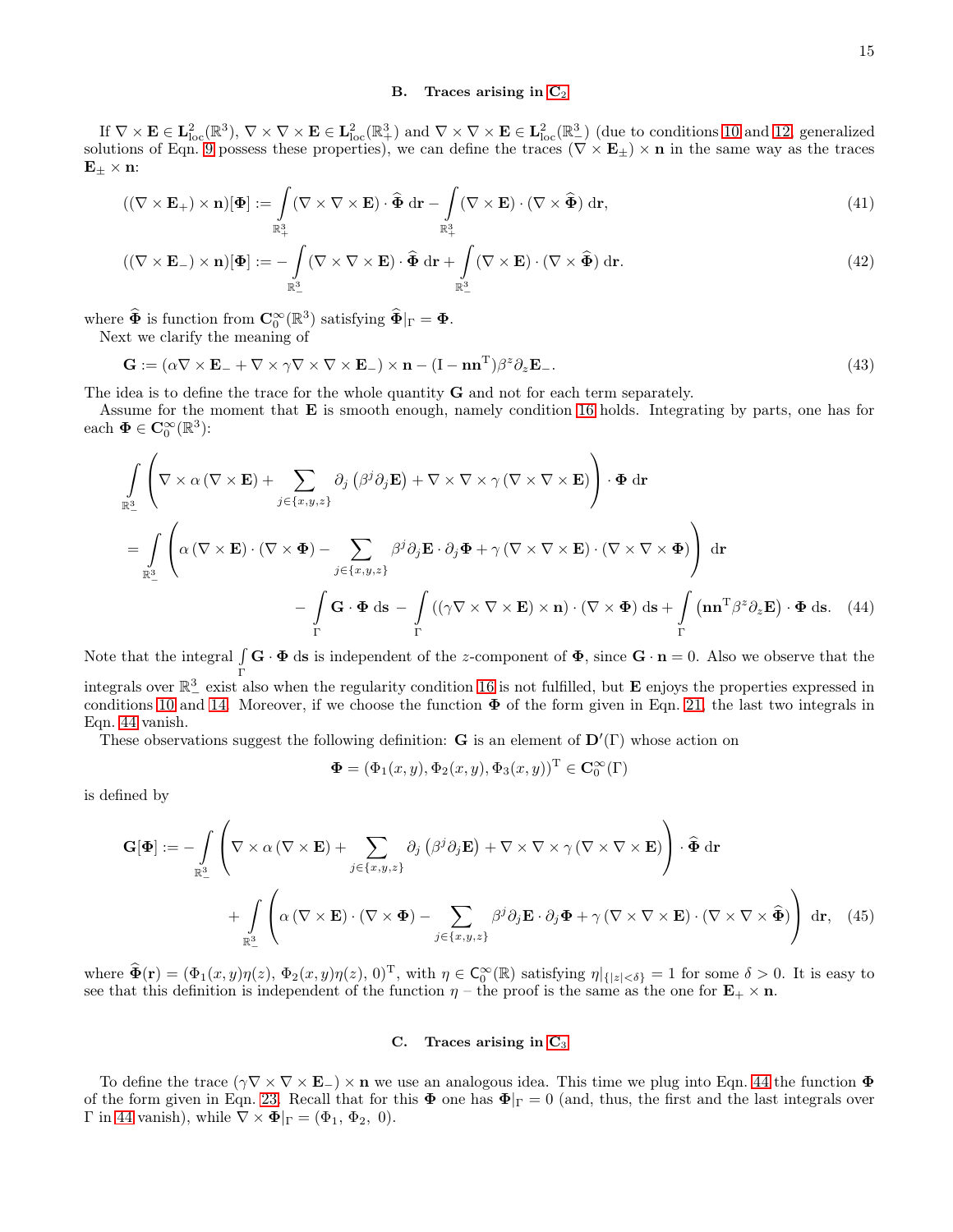### <span id="page-14-4"></span><span id="page-14-3"></span><span id="page-14-2"></span>B. Traces arising in  $C_2$

If  $\nabla \times \mathbf{E} \in \mathbf{L}^2_{\text{loc}}(\mathbb{R}^3)$ ,  $\nabla \times \nabla \times \mathbf{E} \in \mathbf{L}^2_{\text{loc}}(\mathbb{R}^3_+)$  and  $\nabla \times \nabla \times \mathbf{E} \in \mathbf{L}^2_{\text{loc}}(\mathbb{R}^3_-)$  (due to conditions [10](#page-4-2) and [12,](#page-5-6) generalized solutions of Eqn. [9](#page-4-1) possess these properties), we can define the traces  $(\nabla \times \mathbf{E}_{\pm}) \times \mathbf{n}$  in the same way as the traces  $E_{\pm} \times n$ :

$$
((\nabla \times \mathbf{E}_{+}) \times \mathbf{n})[\Phi] := \int_{\mathbb{R}^{3}_{+}} (\nabla \times \nabla \times \mathbf{E}) \cdot \widehat{\Phi} \, d\mathbf{r} - \int_{\mathbb{R}^{3}_{+}} (\nabla \times \mathbf{E}) \cdot (\nabla \times \widehat{\Phi}) \, d\mathbf{r}, \tag{41}
$$

$$
((\nabla \times \mathbf{E}_{-}) \times \mathbf{n})[\Phi] := -\int_{\mathbb{R}^{3}_{-}} (\nabla \times \nabla \times \mathbf{E}) \cdot \hat{\Phi} \, d\mathbf{r} + \int_{\mathbb{R}^{3}_{-}} (\nabla \times \mathbf{E}) \cdot (\nabla \times \hat{\Phi}) \, d\mathbf{r}.
$$
\n(42)

where  $\widehat{\Phi}$  is function from  $\mathbf{C}_0^{\infty}(\mathbb{R}^3)$  satisfying  $\widehat{\Phi}|_{\Gamma} = \Phi$ .

Next we clarify the meaning of

 $\mathbf{G} := (\alpha \nabla \times \mathbf{E}_{-} + \nabla \times \gamma \nabla \times \nabla \times \mathbf{E}_{-}) \times \mathbf{n} - (\mathrm{I} - \mathbf{n}\mathbf{n}^{\mathrm{T}})\beta^{z}$  $\partial_z \mathbf{E}_-$ . (43)

The idea is to define the trace for the whole quantity G and not for each term separately.

Assume for the moment that E is smooth enough, namely condition [16](#page-5-4) holds. Integrating by parts, one has for each  $\Phi \in \mathbf{C}_0^{\infty}(\mathbb{R}^3)$ :

$$
\int_{\mathbb{R}^{3}_{-}} \left( \nabla \times \alpha (\nabla \times \mathbf{E}) + \sum_{j \in \{x, y, z\}} \partial_{j} \left( \beta^{j} \partial_{j} \mathbf{E} \right) + \nabla \times \nabla \times \gamma (\nabla \times \nabla \times \mathbf{E}) \right) \cdot \Phi \, d\mathbf{r}
$$
\n
$$
= \int_{\mathbb{R}^{3}_{-}} \left( \alpha (\nabla \times \mathbf{E}) \cdot (\nabla \times \Phi) - \sum_{j \in \{x, y, z\}} \beta^{j} \partial_{j} \mathbf{E} \cdot \partial_{j} \Phi + \gamma (\nabla \times \nabla \times \mathbf{E}) \cdot (\nabla \times \nabla \times \Phi) \right) d\mathbf{r}
$$
\n
$$
- \int_{\Gamma} \mathbf{G} \cdot \Phi \, d\mathbf{s} - \int_{\Gamma} \left( (\gamma \nabla \times \nabla \times \mathbf{E}) \times \mathbf{n} \right) \cdot (\nabla \times \Phi) \, d\mathbf{s} + \int_{\Gamma} (\mathbf{n} \mathbf{n}^{\mathrm{T}} \beta^{z} \partial_{z} \mathbf{E}) \cdot \Phi \, d\mathbf{s}.
$$
\n(44)

Note that the integral  $\int$ Γ  $\mathbf{G} \cdot \mathbf{\Phi}$  ds is independent of the z-component of  $\mathbf{\Phi}$ , since  $\mathbf{G} \cdot \mathbf{n} = 0$ . Also we observe that the integrals over  $\mathbb{R}^3_-$  exist also when the regularity condition [16](#page-5-4) is not fulfilled, but **E** enjoys the properties expressed in conditions [10](#page-4-2) and [14.](#page-5-3) Moreover, if we choose the function  $\Phi$  of the form given in Eqn. [21,](#page-7-5) the last two integrals in Eqn. [44](#page-14-0) vanish.

These observations suggest the following definition: **G** is an element of  $\mathbf{D}'(\Gamma)$  whose action on

<span id="page-14-0"></span>
$$
\mathbf{\Phi} = (\Phi_1(x, y), \Phi_2(x, y), \Phi_3(x, y))^{\mathrm{T}} \in \mathbf{C}_0^{\infty}(\Gamma)
$$

is defined by

$$
\mathbf{G}[\mathbf{\Phi}] := -\int_{\mathbb{R}^3} \left( \nabla \times \alpha (\nabla \times \mathbf{E}) + \sum_{j \in \{x, y, z\}} \partial_j (\beta^j \partial_j \mathbf{E}) + \nabla \times \nabla \times \gamma (\nabla \times \nabla \times \mathbf{E}) \right) \cdot \hat{\mathbf{\Phi}} \, d\mathbf{r} + \int_{\mathbb{R}^3} \left( \alpha (\nabla \times \mathbf{E}) \cdot (\nabla \times \mathbf{\Phi}) - \sum_{j \in \{x, y, z\}} \beta^j \partial_j \mathbf{E} \cdot \partial_j \mathbf{\Phi} + \gamma (\nabla \times \nabla \times \mathbf{E}) \cdot (\nabla \times \nabla \times \hat{\mathbf{\Phi}}) \right) d\mathbf{r}, \quad (45)
$$

where  $\hat{\Phi}(\mathbf{r}) = (\Phi_1(x, y)\eta(z), \Phi_2(x, y)\eta(z), 0)^T$ , with  $\eta \in \mathsf{C}_0^{\infty}(\mathbb{R})$  satisfying  $\eta|_{\{|z| < \delta\}} = 1$  for some  $\delta > 0$ . It is easy to see that this definition is independent of the function  $\eta$  – the proof is the same as the one for  $\mathbf{E}_+ \times \mathbf{n}$ .

# <span id="page-14-1"></span>C. Traces arising in [C](#page-6-5)<sup>3</sup>

To define the trace  $(\gamma \nabla \times \nabla \times \mathbf{E}_{-}) \times \mathbf{n}$  we use an analogous idea. This time we plug into Eqn. [44](#page-14-0) the function  $\Phi$ of the form given in Eqn. [23.](#page-7-6) Recall that for this  $\Phi$  one has  $\Phi|_{\Gamma} = 0$  (and, thus, the first and the last integrals over Γ in [44](#page-14-0) vanish), while  $\nabla \times \mathbf{\Phi}|_{\Gamma} = (\Phi_1, \Phi_2, 0)$ .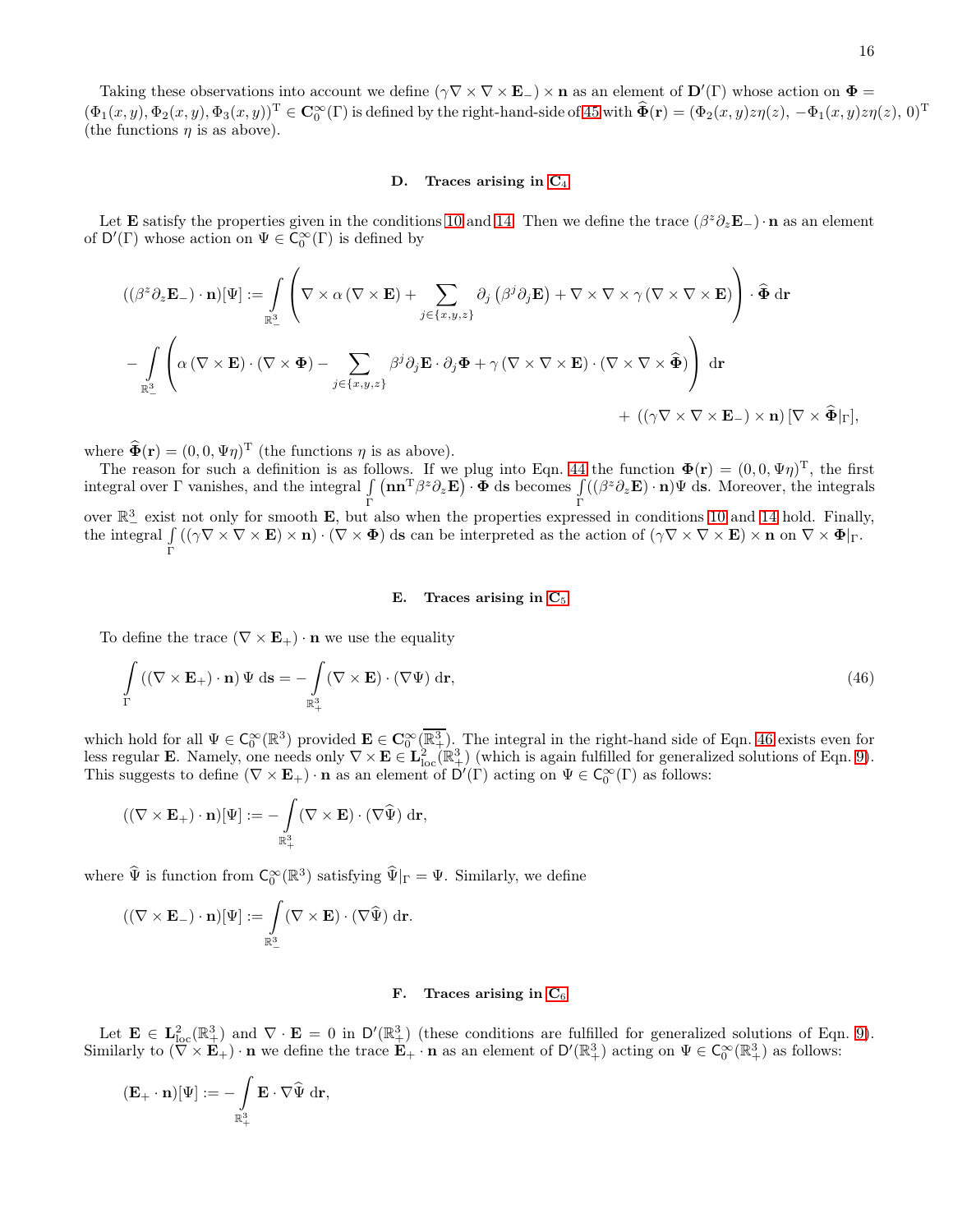Taking these observations into account we define  $(\gamma \nabla \times \nabla \times \mathbf{E}_{-}) \times \mathbf{n}$  as an element of  $\mathbf{D}'(\Gamma)$  whose action on  $\mathbf{\Phi} =$  $(\Phi_1(x,y), \Phi_2(x,y), \Phi_3(x,y))^{\mathrm{T}} \in \mathbf{C}_0^\infty(\Gamma)$  is defined by the right-hand-side of [45](#page-14-1) with  $\widehat{\Phi}(\mathbf{r}) = (\Phi_2(x,y)z\eta(z), -\Phi_1(x,y)z\eta(z), 0)^{\mathrm{T}}$ (the functions  $\eta$  is as above).

#### D. Traces arising in  $C_4$

Let **E** satisfy the properties given in the conditions [10](#page-4-2) and [14.](#page-5-3) Then we define the trace  $(\beta^z \partial_z \mathbf{E}_-) \cdot \mathbf{n}$  as an element of  $D'(\Gamma)$  whose action on  $\Psi \in \widetilde{C}_0^{\infty}(\Gamma)$  is defined by

$$
\begin{split} & ((\beta^{z}\partial_{z}\mathbf{E}_{-})\cdot\mathbf{n})[\Psi]:=\int\limits_{\mathbb{R}^{3}}\left(\nabla\times\alpha\left(\nabla\times\mathbf{E}\right)+\sum\limits_{j\in\{x,y,z\}}\partial_{j}\left(\beta^{j}\partial_{j}\mathbf{E}\right)+\nabla\times\nabla\times\gamma\left(\nabla\times\nabla\times\mathbf{E}\right)\right)\cdot\widehat{\Phi}\mathrm{~d}\mathbf{r} \\ & -\int\limits_{\mathbb{R}^{3}_{-}}\left(\alpha\left(\nabla\times\mathbf{E}\right)\cdot\left(\nabla\times\Phi\right)-\sum\limits_{j\in\{x,y,z\}}\beta^{j}\partial_{j}\mathbf{E}\cdot\partial_{j}\Phi+\gamma\left(\nabla\times\nabla\times\mathbf{E}\right)\cdot\left(\nabla\times\nabla\times\widehat{\Phi}\right)\right)\mathrm{~d}\mathbf{r} \\ & +\left((\gamma\nabla\times\nabla\times\mathbf{E}_{-})\times\mathbf{n}\right)[\nabla\times\widehat{\Phi}|_{\Gamma}], \end{split}
$$

where  $\widehat{\Phi}(\mathbf{r}) = (0, 0, \Psi \eta)^{\mathrm{T}}$  (the functions  $\eta$  is as above).

The reason for such a definition is as follows. If we plug into Eqn. [44](#page-14-0) the function  $\mathbf{\Phi}(\mathbf{r}) = (0,0,\Psi\eta)^T$ , the first integral over  $\Gamma$  vanishes, and the integral  $\int$ Γ  $(\mathbf{n}\mathbf{n}^{\mathrm{T}}\beta^z\partial_z\mathbf{E})\cdot\mathbf{\Phi}$  ds becomes  $\int$ Γ  $((\beta^z \partial_z \mathbf{E}) \cdot \mathbf{n}) \Psi$  ds. Moreover, the integrals over  $\mathbb{R}^3$  exist not only for smooth **E**, but also when the properties expressed in conditions [10](#page-4-2) and [14](#page-5-3) hold. Finally, the integral  $\int ((\gamma \nabla \times \nabla \times \mathbf{E}) \times \mathbf{n}) \cdot (\nabla \times \mathbf{\Phi})$  ds can be interpreted as the action of  $(\gamma \nabla \times \nabla \times \mathbf{E}) \times \mathbf{n}$  on  $\nabla \times \mathbf{\Phi}|_{\Gamma}$ . Γ

## <span id="page-15-0"></span>E. Traces arising in  $C_5$

To define the trace  $(\nabla \times \mathbf{E}_{+}) \cdot \mathbf{n}$  we use the equality

$$
\int_{\Gamma} \left( (\nabla \times \mathbf{E}_{+}) \cdot \mathbf{n} \right) \Psi \, \mathrm{d}\mathbf{s} = -\int_{\mathbb{R}^{3}_{+}} (\nabla \times \mathbf{E}) \cdot (\nabla \Psi) \, \mathrm{d}\mathbf{r},\tag{46}
$$

which hold for all  $\Psi \in C_0^{\infty}(\mathbb{R}^3)$  provided  $\mathbf{E} \in C_0^{\infty}(\overline{\mathbb{R}^3_+})$ . The integral in the right-hand side of Eqn. [46](#page-15-0) exists even for less regular **E**. Namely, one needs only  $\nabla \times \mathbf{E} \in \mathbf{L}^2_{\text{loc}}(\mathbb{R}^3_+)$  (which is again fulfilled for generalized solutions of Eqn. [9\)](#page-4-1). This suggests to define  $(\nabla \times \mathbf{E}_{+}) \cdot \mathbf{n}$  as an element of  $D'(\Gamma)$  acting on  $\Psi \in C_0^{\infty}(\Gamma)$  as follows:

$$
((\nabla \times \mathbf{E}_{+}) \cdot \mathbf{n})[\Psi] := -\int\limits_{\mathbb{R}^3_+} (\nabla \times \mathbf{E}) \cdot (\nabla \widehat{\Psi}) \, \mathrm{d}\mathbf{r},
$$

where  $\hat{\Psi}$  is function from  $C_0^{\infty}(\mathbb{R}^3)$  satisfying  $\hat{\Psi}|_{\Gamma} = \Psi$ . Similarly, we define

$$
((\nabla \times \mathbf{E}_{-}) \cdot \mathbf{n})[\Psi] := \int_{\mathbb{R}^3_{-}} (\nabla \times \mathbf{E}) \cdot (\nabla \widehat{\Psi}) \, d\mathbf{r}.
$$

## F. Traces arising in  $C_6$

Let  $\mathbf{E} \in \mathbf{L}^2_{\text{loc}}(\mathbb{R}^3_+)$  and  $\nabla \cdot \mathbf{E} = 0$  in  $\mathsf{D}'(\mathbb{R}^3_+)$  (these conditions are fulfilled for generalized solutions of Eqn. [9\)](#page-4-1). Similarly to  $(\overline{\nabla} \times \mathbf{E}_{+}) \cdot \mathbf{n}$  we define the trace  $\mathbf{E}_{+} \cdot \mathbf{n}$  as an element of  $D'(\mathbb{R}^3_+)$  acting on  $\Psi \in C_0^{\infty}(\mathbb{R}^3_+)$  as follows:

$$
(\mathbf{E}_{+}\cdot\mathbf{n})[\Psi]:=-\int\limits_{\mathbb{R}^{3}_{+}}\mathbf{E}\cdot\nabla\widehat{\Psi}\mathrm{~d}\mathbf{r},
$$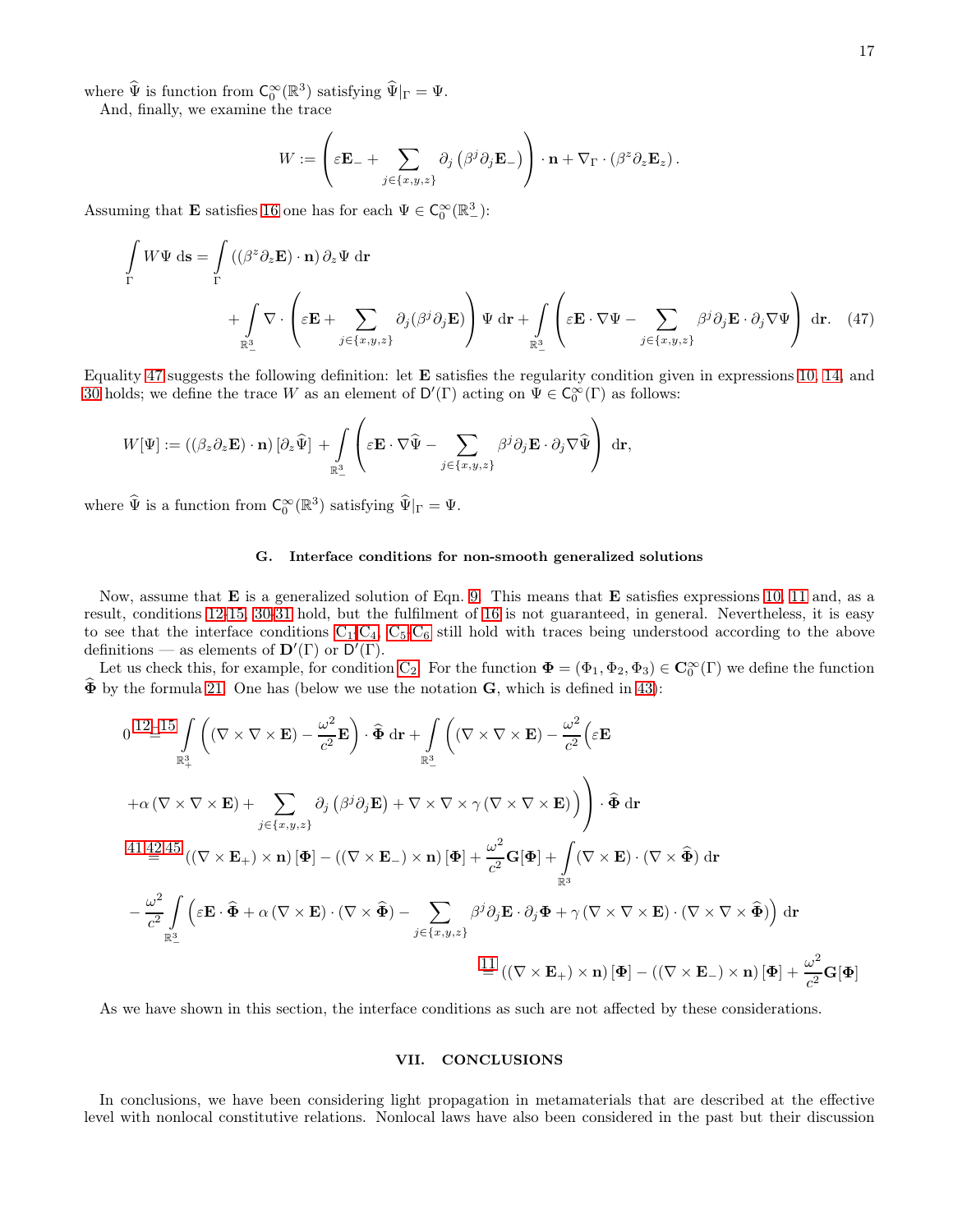where  $\widehat{\Psi}$  is function from  $C_0^{\infty}(\mathbb{R}^3)$  satisfying  $\widehat{\Psi}|_{\Gamma} = \Psi$ .

And, finally, we examine the trace

<span id="page-16-0"></span>
$$
W := \left(\varepsilon \mathbf{E}_{-} + \sum_{j \in \{x,y,z\}} \partial_j \left(\beta^j \partial_j \mathbf{E}_{-}\right)\right) \cdot \mathbf{n} + \nabla_{\Gamma} \cdot \left(\beta^z \partial_z \mathbf{E}_z\right).
$$

Assuming that **E** satisfies [16](#page-5-4) one has for each  $\Psi \in C_0^{\infty}(\mathbb{R}^3_-)$ :

$$
\int_{\Gamma} W\Psi \, \mathrm{d}\mathbf{s} = \int_{\Gamma} \left( (\beta^z \partial_z \mathbf{E}) \cdot \mathbf{n} \right) \partial_z \Psi \, \mathrm{d}\mathbf{r} + \int_{\mathbb{R}^3_-} \nabla \cdot \left( \varepsilon \mathbf{E} + \sum_{j \in \{x, y, z\}} \partial_j (\beta^j \partial_j \mathbf{E}) \right) \Psi \, \mathrm{d}\mathbf{r} + \int_{\mathbb{R}^3_-} \left( \varepsilon \mathbf{E} \cdot \nabla \Psi - \sum_{j \in \{x, y, z\}} \beta^j \partial_j \mathbf{E} \cdot \partial_j \nabla \Psi \right) \, \mathrm{d}\mathbf{r}.
$$
 (47)

Equality [47](#page-16-0) suggests the following definition: let E satisfies the regularity condition given in expressions [10,](#page-4-2) [14,](#page-5-3) and [30](#page-9-2) holds; we define the trace W as an element of  $D'(F)$  acting on  $\Psi \in C_0^{\infty}(\Gamma)$  as follows:

$$
W[\Psi] := \left( (\beta_z \partial_z \mathbf{E}) \cdot \mathbf{n} \right) [\partial_z \widehat{\Psi}] + \int\limits_{\mathbb{R}^3_-} \left( \varepsilon \mathbf{E} \cdot \nabla \widehat{\Psi} - \sum_{j \in \{x,y,z\}} \beta^j \partial_j \mathbf{E} \cdot \partial_j \nabla \widehat{\Psi} \right) d\mathbf{r},
$$

where  $\widehat{\Psi}$  is a function from  $C_0^{\infty}(\mathbb{R}^3)$  satisfying  $\widehat{\Psi}|_{\Gamma} = \Psi$ .

#### G. Interface conditions for non-smooth generalized solutions

Now, assume that E is a generalized solution of Eqn. [9.](#page-4-1) This means that E satisfies expressions [10,](#page-4-2) [11](#page-5-1) and, as a result, conditions [12-](#page-5-6)[15,](#page-5-5) [30-](#page-9-2)[31](#page-9-3) hold, but the fulfilment of [16](#page-5-4) is not guaranteed, in general. Nevertheless, it is easy to see that the interface conditions  $C_1-C_4$  $C_1-C_4$  $C_1-C_4$ ,  $C_5-C_6$  still hold with traces being understood according to the above definitions — as elements of  $\mathbf{D}'(\Gamma)$  or  $\mathbf{D}'(\Gamma)$ .

Let us check this, for example, for condition  $C_2$ . For the function  $\Phi = (\Phi_1, \Phi_2, \Phi_3) \in \mathbb{C}_0^{\infty}(\Gamma)$  we define the function  $\widehat{\Phi}$  by the formula [21.](#page-7-5) One has (below we use the notation  $\mathbf{G}$ , which is defined in [43\)](#page-14-2):

$$
0 \t12 \t\t\frac{15}{\mathbb{R}^3} \int_{\mathbb{R}^3} \left( (\nabla \times \nabla \times \mathbf{E}) - \frac{\omega^2}{c^2} \mathbf{E} \right) \cdot \hat{\Phi} \, d\mathbf{r} + \int_{\mathbb{R}^3} \left( (\nabla \times \nabla \times \mathbf{E}) - \frac{\omega^2}{c^2} \Big( \varepsilon \mathbf{E} \right)
$$
  
\n
$$
+ \alpha (\nabla \times \nabla \times \mathbf{E}) + \sum_{j \in \{x, y, z\}} \partial_j (\beta^j \partial_j \mathbf{E}) + \nabla \times \nabla \times \gamma (\nabla \times \nabla \times \mathbf{E}) \Big) \right) \cdot \hat{\Phi} \, d\mathbf{r}
$$
  
\n41,42,45  $((\nabla \times \mathbf{E}_+) \times \mathbf{n}) [\Phi] - ((\nabla \times \mathbf{E}_-) \times \mathbf{n}) [\Phi] + \frac{\omega^2}{c^2} \mathbf{G} [\Phi] + \int_{\mathbb{R}^3} (\nabla \times \mathbf{E}) \cdot (\nabla \times \hat{\Phi}) \, d\mathbf{r}$   
\n
$$
- \frac{\omega^2}{c^2} \int_{\mathbb{R}^3} \Big( \varepsilon \mathbf{E} \cdot \hat{\Phi} + \alpha (\nabla \times \mathbf{E}) \cdot (\nabla \times \hat{\Phi}) - \sum_{j \in \{x, y, z\}} \beta^j \partial_j \mathbf{E} \cdot \partial_j \Phi + \gamma (\nabla \times \nabla \times \mathbf{E}) \cdot (\nabla \times \nabla \times \hat{\Phi}) \Big) \, d\mathbf{r}
$$
  
\n
$$
\frac{11}{\varepsilon} ((\nabla \times \mathbf{E}_+) \times \mathbf{n}) [\Phi] - ((\nabla \times \mathbf{E}_-) \times \mathbf{n}) [\Phi] + \frac{\omega^2}{c^2} \mathbf{G} [\Phi]
$$

As we have shown in this section, the interface conditions as such are not affected by these considerations.

### VII. CONCLUSIONS

In conclusions, we have been considering light propagation in metamaterials that are described at the effective level with nonlocal constitutive relations. Nonlocal laws have also been considered in the past but their discussion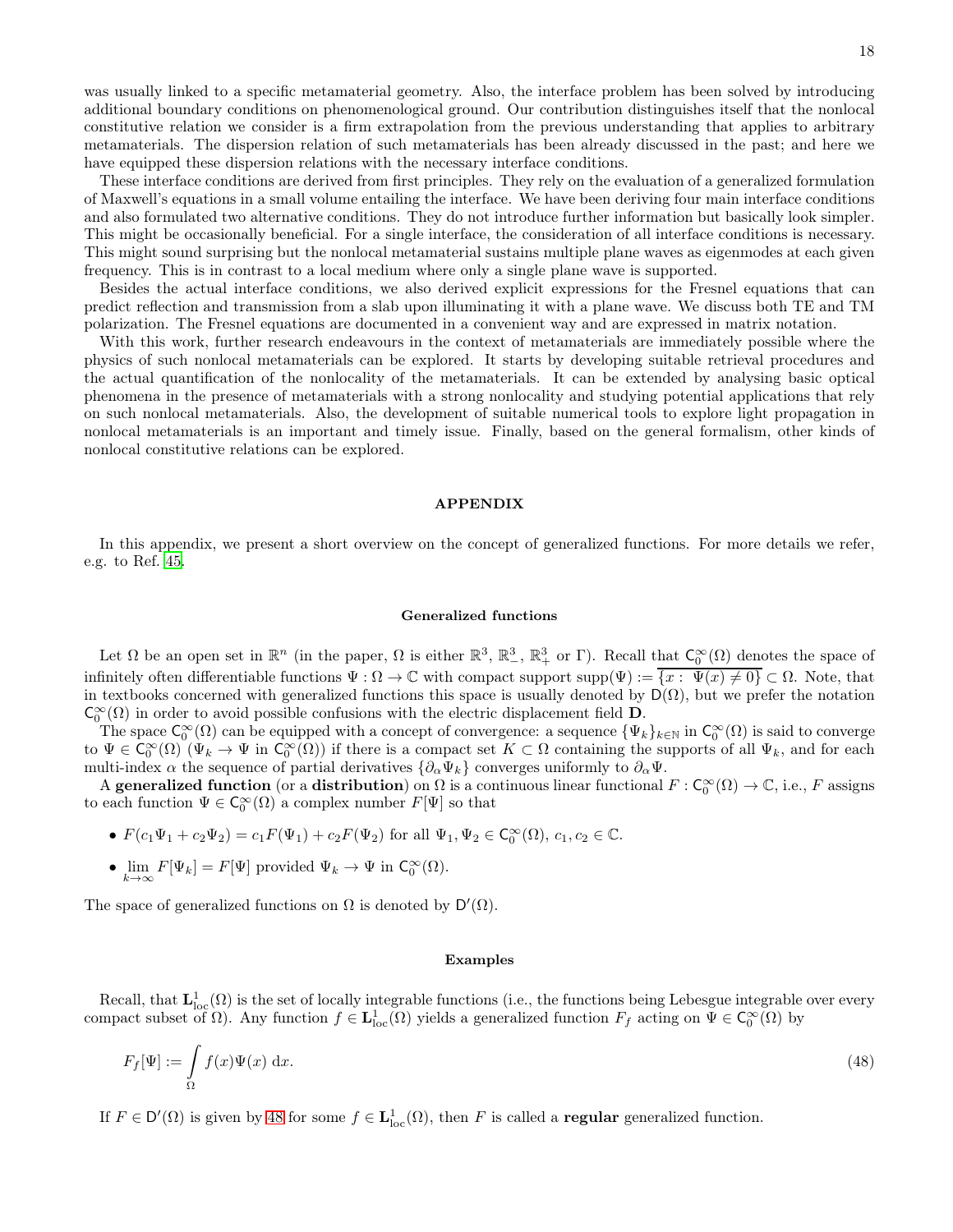was usually linked to a specific metamaterial geometry. Also, the interface problem has been solved by introducing additional boundary conditions on phenomenological ground. Our contribution distinguishes itself that the nonlocal constitutive relation we consider is a firm extrapolation from the previous understanding that applies to arbitrary metamaterials. The dispersion relation of such metamaterials has been already discussed in the past; and here we have equipped these dispersion relations with the necessary interface conditions.

These interface conditions are derived from first principles. They rely on the evaluation of a generalized formulation of Maxwell's equations in a small volume entailing the interface. We have been deriving four main interface conditions and also formulated two alternative conditions. They do not introduce further information but basically look simpler. This might be occasionally beneficial. For a single interface, the consideration of all interface conditions is necessary. This might sound surprising but the nonlocal metamaterial sustains multiple plane waves as eigenmodes at each given frequency. This is in contrast to a local medium where only a single plane wave is supported.

Besides the actual interface conditions, we also derived explicit expressions for the Fresnel equations that can predict reflection and transmission from a slab upon illuminating it with a plane wave. We discuss both TE and TM polarization. The Fresnel equations are documented in a convenient way and are expressed in matrix notation.

With this work, further research endeavours in the context of metamaterials are immediately possible where the physics of such nonlocal metamaterials can be explored. It starts by developing suitable retrieval procedures and the actual quantification of the nonlocality of the metamaterials. It can be extended by analysing basic optical phenomena in the presence of metamaterials with a strong nonlocality and studying potential applications that rely on such nonlocal metamaterials. Also, the development of suitable numerical tools to explore light propagation in nonlocal metamaterials is an important and timely issue. Finally, based on the general formalism, other kinds of nonlocal constitutive relations can be explored.

#### APPENDIX

In this appendix, we present a short overview on the concept of generalized functions. For more details we refer, e.g. to Ref. [45.](#page-20-3)

### Generalized functions

Let  $\Omega$  be an open set in  $\mathbb{R}^n$  (in the paper,  $\Omega$  is either  $\mathbb{R}^3$ ,  $\mathbb{R}^3_+$ ,  $\mathbb{R}^3_+$ , or  $\Gamma$ ). Recall that  $\mathsf{C}_0^{\infty}(\Omega)$  denotes the space of infinitely often differentiable functions  $\Psi : \Omega \to \mathbb{C}$  with compact support supp $(\Psi) := \{x : \Psi(x) \neq 0\} \subset \Omega$ . Note, that in textbooks concerned with generalized functions this space is usually denoted by  $D(\Omega)$ , but we prefer the notation  $\mathsf{C}_0^{\infty}(\Omega)$  in order to avoid possible confusions with the electric displacement field  $\mathbf{D}$ .

The space  $\mathsf{C}_0^{\infty}(\Omega)$  can be equipped with a concept of convergence: a sequence  $\{\Psi_k\}_{k\in\mathbb{N}}$  in  $\mathsf{C}_0^{\infty}(\Omega)$  is said to converge to  $\Psi \in \mathsf{C}_0^{\infty}(\Omega) \ (Psi_k \to \Psi \text{ in } \mathsf{C}_0^{\infty}(\Omega))$  if there is a compact set  $K \subset \Omega$  containing the supports of all  $\Psi_k$ , and for each multi-index  $\alpha$  the sequence of partial derivatives  $\{\partial_\alpha \Psi_k\}$  converges uniformly to  $\partial_\alpha \Psi$ .

A generalized function (or a distribution) on  $\Omega$  is a continuous linear functional  $F: \mathsf{C}_0^{\infty}(\Omega) \to \mathbb{C}$ , i.e., F assigns to each function  $\Psi \in \mathsf{C}_0^{\infty}(\Omega)$  a complex number  $F[\Psi]$  so that

- $F(c_1\Psi_1 + c_2\Psi_2) = c_1 F(\Psi_1) + c_2 F(\Psi_2)$  for all  $\Psi_1, \Psi_2 \in C_0^{\infty}(\Omega), c_1, c_2 \in \mathbb{C}$ .
- $\lim_{k \to \infty} F[\Psi_k] = F[\Psi]$  provided  $\Psi_k \to \Psi$  in  $C_0^{\infty}(\Omega)$ .

The space of generalized functions on  $\Omega$  is denoted by  $D'(\Omega)$ .

#### <span id="page-17-0"></span>Examples

Recall, that  $L^1_{loc}(\Omega)$  is the set of locally integrable functions (i.e., the functions being Lebesgue integrable over every compact subset of  $\Omega$ ). Any function  $f \in L^1_{loc}(\Omega)$  yields a generalized function  $F_f$  acting on  $\Psi \in C_0^{\infty}(\Omega)$  by

$$
F_f[\Psi] := \int_{\Omega} f(x)\Psi(x) \, \mathrm{d}x. \tag{48}
$$

If  $F \in D'(\Omega)$  is given by [48](#page-17-0) for some  $f \in L^1_{loc}(\Omega)$ , then F is called a **regular** generalized function.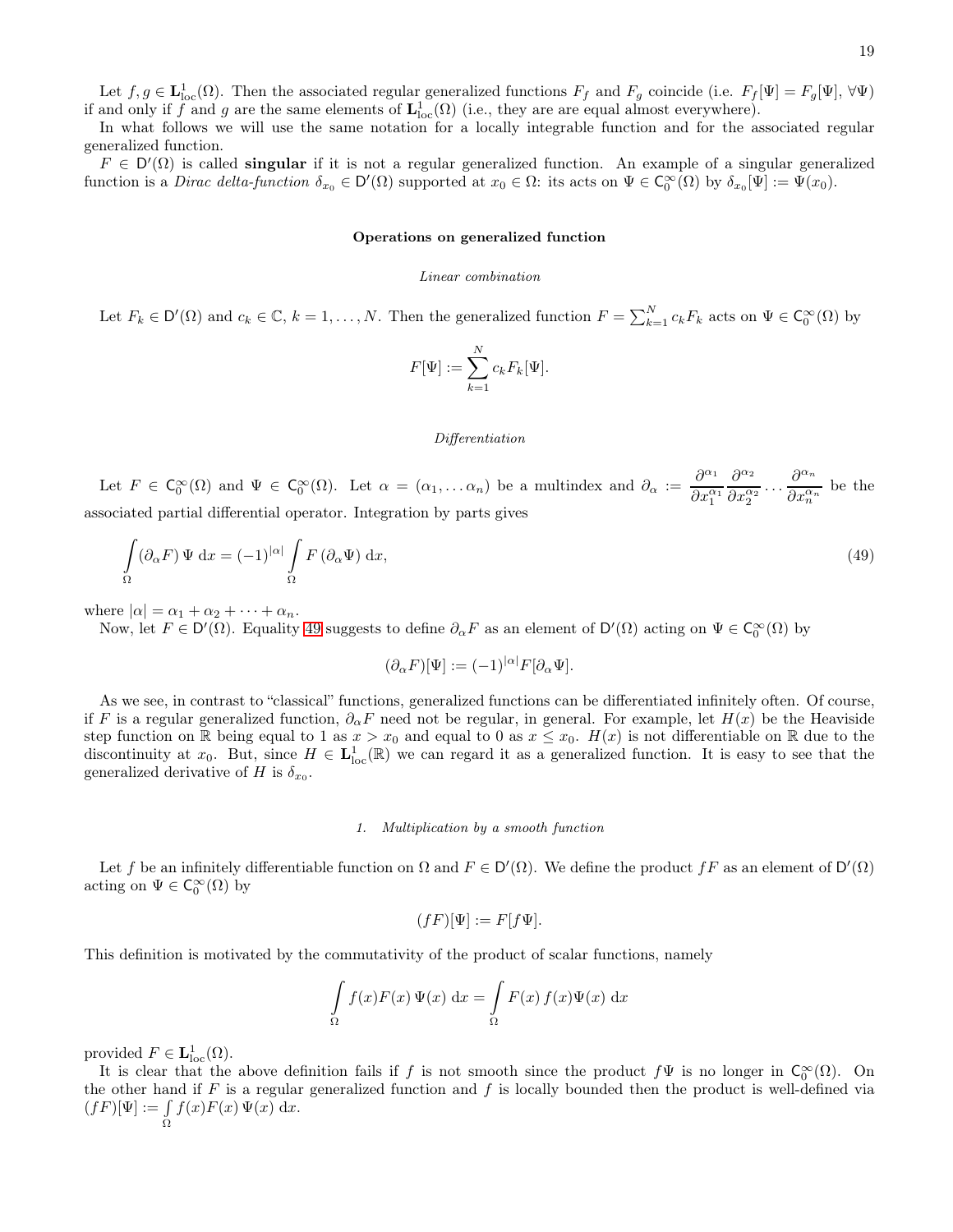Let  $f, g \in L^1_{loc}(\Omega)$ . Then the associated regular generalized functions  $F_f$  and  $F_g$  coincide (i.e.  $F_f[\Psi] = F_g[\Psi], \forall \Psi$ ) if and only if f and g are the same elements of  $\mathbf{L}^1_{\text{loc}}(\Omega)$  (i.e., they are are equal almost everywhere).

In what follows we will use the same notation for a locally integrable function and for the associated regular generalized function.

 $F \in D'(\Omega)$  is called **singular** if it is not a regular generalized function. An example of a singular generalized function is a *Dirac delta-function*  $\delta_{x_0} \in D'(\Omega)$  supported at  $x_0 \in \Omega$ : its acts on  $\Psi \in C_0^{\infty}(\Omega)$  by  $\delta_{x_0}[\Psi] := \Psi(x_0)$ .

#### Operations on generalized function

#### Linear combination

Let  $F_k \in \mathsf{D}'(\Omega)$  and  $c_k \in \mathbb{C}$ ,  $k = 1, \ldots, N$ . Then the generalized function  $F = \sum_{k=1}^N c_k F_k$  acts on  $\Psi \in \mathsf{C}_0^{\infty}(\Omega)$  by

$$
F[\Psi] := \sum_{k=1}^{N} c_k F_k[\Psi].
$$

#### <span id="page-18-0"></span>Differentiation

Let  $F \in C_0^{\infty}(\Omega)$  and  $\Psi \in C_0^{\infty}(\Omega)$ . Let  $\alpha = (\alpha_1, \dots \alpha_n)$  be a multindex and  $\partial_{\alpha} := \frac{\partial^{\alpha_1}}{\partial \alpha^{\alpha}}$  $\overline{\partial x_1^{\alpha_1}}$  $\partial^{\alpha_2}$  $\partial x_2^{\alpha_2}$  $\cdots \frac{\partial^{\alpha_n}}{\partial \alpha_n}$  $\frac{\partial}{\partial x_n^{\alpha_n}}$  be the associated partial differential operator. Integration by parts gives

$$
\int_{\Omega} (\partial_{\alpha} F) \Psi \, dx = (-1)^{|\alpha|} \int_{\Omega} F (\partial_{\alpha} \Psi) \, dx,\tag{49}
$$

where  $|\alpha| = \alpha_1 + \alpha_2 + \cdots + \alpha_n$ .

Now, let  $F \in D'(\Omega)$ . Equality [49](#page-18-0) suggests to define  $\partial_{\alpha} F$  as an element of  $D'(\Omega)$  acting on  $\Psi \in C_0^{\infty}(\Omega)$  by

$$
(\partial_{\alpha} F)[\Psi] := (-1)^{|\alpha|} F[\partial_{\alpha} \Psi].
$$

As we see, in contrast to "classical" functions, generalized functions can be differentiated infinitely often. Of course, if F is a regular generalized function,  $\partial_{\alpha}F$  need not be regular, in general. For example, let  $H(x)$  be the Heaviside step function on R being equal to 1 as  $x > x_0$  and equal to 0 as  $x \le x_0$ .  $H(x)$  is not differentiable on R due to the discontinuity at  $x_0$ . But, since  $H \in L^1_{loc}(\mathbb{R})$  we can regard it as a generalized function. It is easy to see that the generalized derivative of H is  $\delta_{x_0}$ .

#### 1. Multiplication by a smooth function

Let f be an infinitely differentiable function on  $\Omega$  and  $F \in D'(\Omega)$ . We define the product fF as an element of  $D'(\Omega)$ acting on  $\Psi \in C_0^{\infty}(\Omega)$  by

$$
(fF)[\Psi] := F[f\Psi].
$$

This definition is motivated by the commutativity of the product of scalar functions, namely

$$
\int_{\Omega} f(x)F(x)\,\Psi(x)\,\mathrm{d}x = \int_{\Omega} F(x)\,f(x)\Psi(x)\,\mathrm{d}x
$$

provided  $F \in \mathbf{L}^1_{\text{loc}}(\Omega)$ .

It is clear that the above definition fails if f is not smooth since the product  $f\Psi$  is no longer in  $\mathsf{C}_0^{\infty}(\Omega)$ . On the other hand if  $F$  is a regular generalized function and  $f$  is locally bounded then the product is well-defined via  $(fF)[\Psi] := \int$ Ω  $f(x)F(x)\Psi(x) dx$ .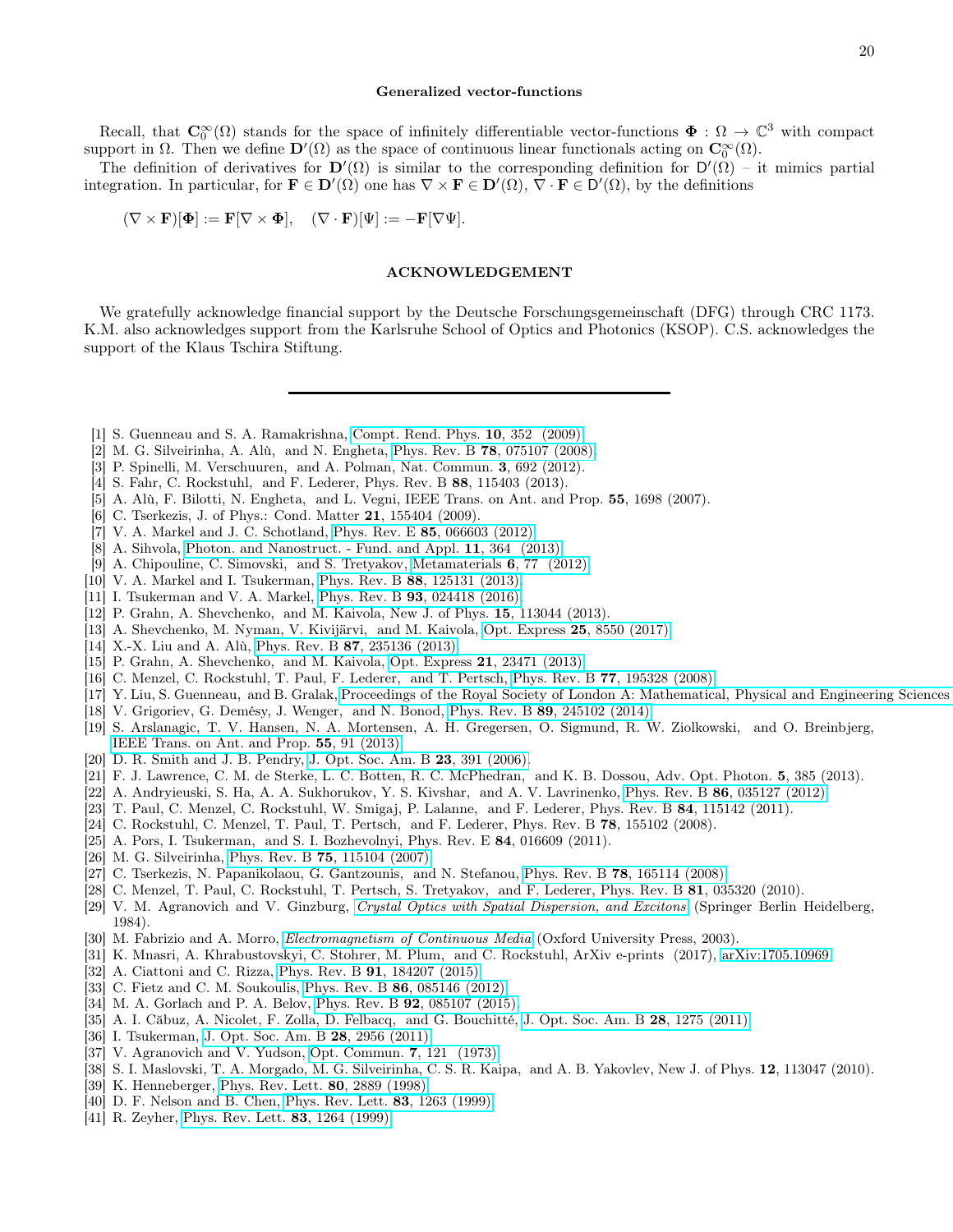#### Generalized vector-functions

Recall, that  $\mathbb{C}_0^{\infty}(\Omega)$  stands for the space of infinitely differentiable vector-functions  $\Phi : \Omega \to \mathbb{C}^3$  with compact support in  $\Omega$ . Then we define  $\mathbf{D}'(\Omega)$  as the space of continuous linear functionals acting on  $\mathbf{C}_0^{\infty}(\Omega)$ .

The definition of derivatives for  $\mathbf{D}'(\Omega)$  is similar to the corresponding definition for  $\mathbf{D}'(\Omega)$  – it mimics partial integration. In particular, for  $\mathbf{F} \in \mathbf{D}'(\Omega)$  one has  $\nabla \times \mathbf{F} \in \mathbf{D}'(\Omega)$ ,  $\nabla \cdot \mathbf{F} \in \mathbf{D}'(\Omega)$ , by the definitions

 $(\nabla \times \mathbf{F})[\mathbf{\Phi}] := \mathbf{F}[\nabla \times \mathbf{\Phi}], \quad (\nabla \cdot \mathbf{F})[\Psi] := -\mathbf{F}[\nabla \Psi].$ 

### ACKNOWLEDGEMENT

We gratefully acknowledge financial support by the Deutsche Forschungsgemeinschaft (DFG) through CRC 1173. K.M. also acknowledges support from the Karlsruhe School of Optics and Photonics (KSOP). C.S. acknowledges the support of the Klaus Tschira Stiftung.

- <span id="page-19-0"></span>[1] S. Guenneau and S. A. Ramakrishna, [Compt. Rend. Phys.](http://dx.doi.org/ http://dx.doi.org/10.1016/j.crhy.2009.04.002) 10, 352 (2009).
- <span id="page-19-1"></span>[2] M. G. Silveirinha, A. Alù, and N. Engheta, Phys. Rev. B 78[, 075107 \(2008\).](http://dx.doi.org/10.1103/PhysRevB.78.075107)
- <span id="page-19-2"></span>[3] P. Spinelli, M. Verschuuren, and A. Polman, Nat. Commun. 3, 692 (2012).
- <span id="page-19-3"></span>[4] S. Fahr, C. Rockstuhl, and F. Lederer, Phys. Rev. B 88, 115403 (2013).
- <span id="page-19-4"></span>[5] A. Alù, F. Bilotti, N. Engheta, and L. Vegni, IEEE Trans. on Ant. and Prop. 55, 1698 (2007).
- <span id="page-19-5"></span>[6] C. Tserkezis, J. of Phys.: Cond. Matter 21, 155404 (2009).
- [7] V. A. Markel and J. C. Schotland, Phys. Rev. E 85[, 066603 \(2012\).](http://dx.doi.org/10.1103/PhysRevE.85.066603)
- [8] A. Sihvola, [Photon. and Nanostruct. Fund. and Appl.](http://dx.doi.org/ https://doi.org/10.1016/j.photonics.2013.01.004) 11, 364 (2013).
- <span id="page-19-7"></span>[9] A. Chipouline, C. Simovski, and S. Tretyakov, [Metamaterials](http://dx.doi.org/https://doi.org/10.1016/j.metmat.2012.11.001) 6, 77 (2012).
- [10] V. A. Markel and I. Tsukerman, Phys. Rev. B 88[, 125131 \(2013\).](http://dx.doi.org/10.1103/PhysRevB.88.125131)
- [11] I. Tsukerman and V. A. Markel, Phys. Rev. B **93**[, 024418 \(2016\).](http://dx.doi.org/10.1103/PhysRevB.93.024418)
- [12] P. Grahn, A. Shevchenko, and M. Kaivola, New J. of Phys. **15**, 113044 (2013).
- [13] A. Shevchenko, M. Nyman, V. Kivijärvi, and M. Kaivola, Opt. Express 25[, 8550 \(2017\).](http://dx.doi.org/10.1364/OE.25.008550)
- <span id="page-19-6"></span>[14] X.-X. Liu and A. Alù, Phys. Rev. B 87[, 235136 \(2013\).](http://dx.doi.org/10.1103/PhysRevB.87.235136)
- <span id="page-19-8"></span>[15] P. Grahn, A. Shevchenko, and M. Kaivola, Opt. Express 21[, 23471 \(2013\).](http://dx.doi.org/10.1364/OE.21.023471)
- [16] C. Menzel, C. Rockstuhl, T. Paul, F. Lederer, and T. Pertsch, Phys. Rev. B 77[, 195328 \(2008\).](http://dx.doi.org/ 10.1103/PhysRevB.77.195328)
- [17] Y. Liu, S. Guenneau, and B. Gralak, [Proceedings of the Royal Society of London A: Mathematical, Physical and Engineering Sciences](http://dx.doi.org/10.1098/rspa.2013.0240)
- [18] V. Grigoriev, G. Demésy, J. Wenger, and N. Bonod, Phys. Rev. B 89[, 245102 \(2014\).](http://dx.doi.org/ 10.1103/PhysRevB.89.245102)
- <span id="page-19-9"></span>[19] S. Arslanagic, T. V. Hansen, N. A. Mortensen, A. H. Gregersen, O. Sigmund, R. W. Ziolkowski, and O. Breinbjerg, [IEEE Trans. on Ant. and Prop.](http://dx.doi.org/10.1109/MAP.2013.6529320) 55, 91 (2013).
- <span id="page-19-10"></span>[20] D. R. Smith and J. B. Pendry, [J. Opt. Soc. Am. B](http://dx.doi.org/10.1364/JOSAB.23.000391) **23**, 391 (2006).
- <span id="page-19-11"></span>[21] F. J. Lawrence, C. M. de Sterke, L. C. Botten, R. C. McPhedran, and K. B. Dossou, Adv. Opt. Photon. 5, 385 (2013).
- [22] A. Andryieuski, S. Ha, A. A. Sukhorukov, Y. S. Kivshar, and A. V. Lavrinenko, Phys. Rev. B 86[, 035127 \(2012\).](http://dx.doi.org/10.1103/PhysRevB.86.035127)
- [23] T. Paul, C. Menzel, C. Rockstuhl, W. Smigaj, P. Lalanne, and F. Lederer, Phys. Rev. B 84, 115142 (2011).
- <span id="page-19-12"></span>[24] C. Rockstuhl, C. Menzel, T. Paul, T. Pertsch, and F. Lederer, Phys. Rev. B 78, 155102 (2008).
- <span id="page-19-13"></span>[25] A. Pors, I. Tsukerman, and S. I. Bozhevolnyi, Phys. Rev. E 84, 016609 (2011).
- <span id="page-19-14"></span>[26] M. G. Silveirinha, Phys. Rev. B **75**[, 115104 \(2007\).](http://dx.doi.org/10.1103/PhysRevB.75.115104)
- [27] C. Tserkezis, N. Papanikolaou, G. Gantzounis, and N. Stefanou, Phys. Rev. B 78[, 165114 \(2008\).](http://dx.doi.org/10.1103/PhysRevB.78.165114)
- <span id="page-19-15"></span>[28] C. Menzel, T. Paul, C. Rockstuhl, T. Pertsch, S. Tretyakov, and F. Lederer, Phys. Rev. B 81, 035320 (2010).
- <span id="page-19-16"></span>[29] V. M. Agranovich and V. Ginzburg, [Crystal Optics with Spatial Dispersion, and Excitons](http://dx.doi.org/10.1007/978-3-662-02406-5) (Springer Berlin Heidelberg, 1984).
- <span id="page-19-17"></span>[30] M. Fabrizio and A. Morro, *[Electromagnetism of Continuous Media](http://dx.doi.org/10.1093/acprof:oso/9780198527008.001.0001)* (Oxford University Press, 2003).
- <span id="page-19-18"></span>[31] K. Mnasri, A. Khrabustovskyi, C. Stohrer, M. Plum, and C. Rockstuhl, ArXiv e-prints (2017), [arXiv:1705.10969.](http://arxiv.org/abs/1705.10969)
- <span id="page-19-19"></span>[32] A. Ciattoni and C. Rizza, Phys. Rev. B 91[, 184207 \(2015\).](http://dx.doi.org/10.1103/PhysRevB.91.184207)
- [33] C. Fietz and C. M. Soukoulis, Phys. Rev. B 86[, 085146 \(2012\).](http://dx.doi.org/10.1103/PhysRevB.86.085146)
- [34] M. A. Gorlach and P. A. Belov, Phys. Rev. B **92**[, 085107 \(2015\).](http://dx.doi.org/10.1103/PhysRevB.92.085107)
- [35] A. I. Căbuz, A. Nicolet, F. Zolla, D. Felbacq, and G. Bouchitté, [J. Opt. Soc. Am. B](http://dx.doi.org/ 10.1364/JOSAB.28.001275) 28, 1275 (2011).
- <span id="page-19-20"></span>[36] I. Tsukerman, [J. Opt. Soc. Am. B](http://dx.doi.org/10.1364/JOSAB.28.002956) 28, 2956 (2011).
- <span id="page-19-21"></span>[37] V. Agranovich and V. Yudson, [Opt. Commun.](http://dx.doi.org/http://dx.doi.org/10.1016/0030-4018(73)90081-3) 7, 121 (1973).
- <span id="page-19-22"></span>[38] S. I. Maslovski, T. A. Morgado, M. G. Silveirinha, C. S. R. Kaipa, and A. B. Yakovlev, New J. of Phys. 12, 113047 (2010).
- <span id="page-19-23"></span>[39] K. Henneberger, [Phys. Rev. Lett.](http://dx.doi.org/10.1103/PhysRevLett.80.2889) 80, 2889 (1998).
- [40] D. F. Nelson and B. Chen, [Phys. Rev. Lett.](http://dx.doi.org/10.1103/PhysRevLett.83.1263) **83**, 1263 (1999).
- <span id="page-19-24"></span>[41] R. Zeyher, [Phys. Rev. Lett.](http://dx.doi.org/10.1103/PhysRevLett.83.1264) **83**, 1264 (1999).